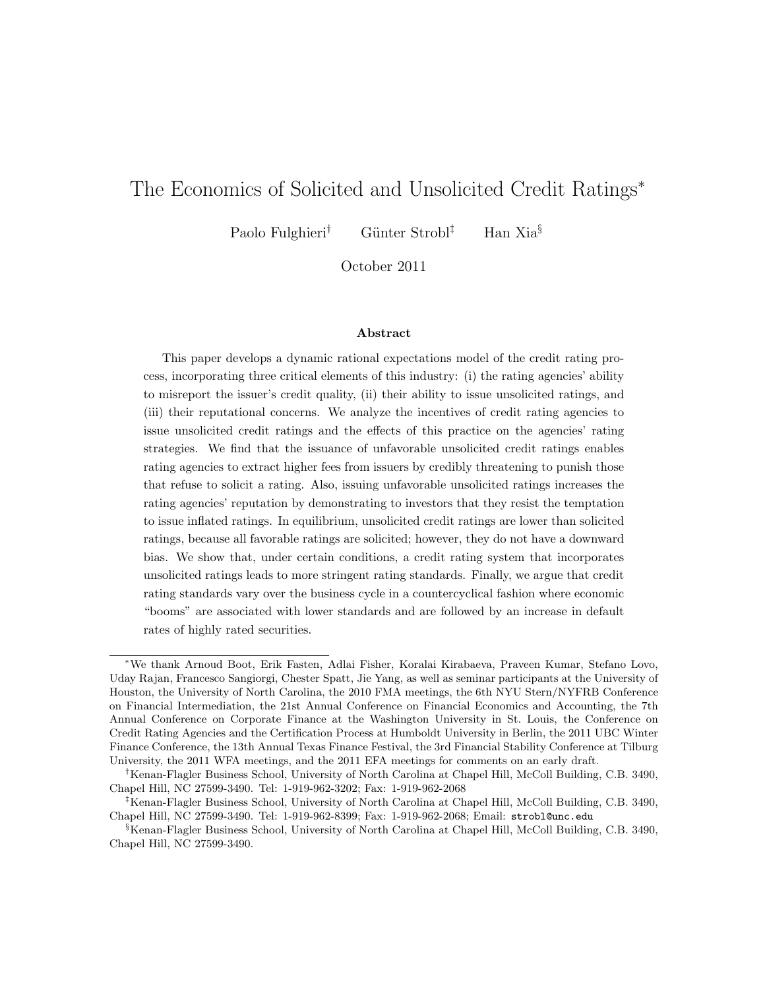# The Economics of Solicited and Unsolicited Credit Ratings<sup>∗</sup>

Paolo Fulghieri<sup>†</sup> Günter Strobl<sup>‡</sup> Han Xia<sup>§</sup>

October 2011

#### Abstract

This paper develops a dynamic rational expectations model of the credit rating process, incorporating three critical elements of this industry: (i) the rating agencies' ability to misreport the issuer's credit quality, (ii) their ability to issue unsolicited ratings, and (iii) their reputational concerns. We analyze the incentives of credit rating agencies to issue unsolicited credit ratings and the effects of this practice on the agencies' rating strategies. We find that the issuance of unfavorable unsolicited credit ratings enables rating agencies to extract higher fees from issuers by credibly threatening to punish those that refuse to solicit a rating. Also, issuing unfavorable unsolicited ratings increases the rating agencies' reputation by demonstrating to investors that they resist the temptation to issue inflated ratings. In equilibrium, unsolicited credit ratings are lower than solicited ratings, because all favorable ratings are solicited; however, they do not have a downward bias. We show that, under certain conditions, a credit rating system that incorporates unsolicited ratings leads to more stringent rating standards. Finally, we argue that credit rating standards vary over the business cycle in a countercyclical fashion where economic "booms" are associated with lower standards and are followed by an increase in default rates of highly rated securities.

<sup>∗</sup>We thank Arnoud Boot, Erik Fasten, Adlai Fisher, Koralai Kirabaeva, Praveen Kumar, Stefano Lovo, Uday Rajan, Francesco Sangiorgi, Chester Spatt, Jie Yang, as well as seminar participants at the University of Houston, the University of North Carolina, the 2010 FMA meetings, the 6th NYU Stern/NYFRB Conference on Financial Intermediation, the 21st Annual Conference on Financial Economics and Accounting, the 7th Annual Conference on Corporate Finance at the Washington University in St. Louis, the Conference on Credit Rating Agencies and the Certification Process at Humboldt University in Berlin, the 2011 UBC Winter Finance Conference, the 13th Annual Texas Finance Festival, the 3rd Financial Stability Conference at Tilburg University, the 2011 WFA meetings, and the 2011 EFA meetings for comments on an early draft.

<sup>†</sup>Kenan-Flagler Business School, University of North Carolina at Chapel Hill, McColl Building, C.B. 3490, Chapel Hill, NC 27599-3490. Tel: 1-919-962-3202; Fax: 1-919-962-2068

<sup>‡</sup>Kenan-Flagler Business School, University of North Carolina at Chapel Hill, McColl Building, C.B. 3490, Chapel Hill, NC 27599-3490. Tel: 1-919-962-8399; Fax: 1-919-962-2068; Email: strobl@unc.edu

<sup>§</sup>Kenan-Flagler Business School, University of North Carolina at Chapel Hill, McColl Building, C.B. 3490, Chapel Hill, NC 27599-3490.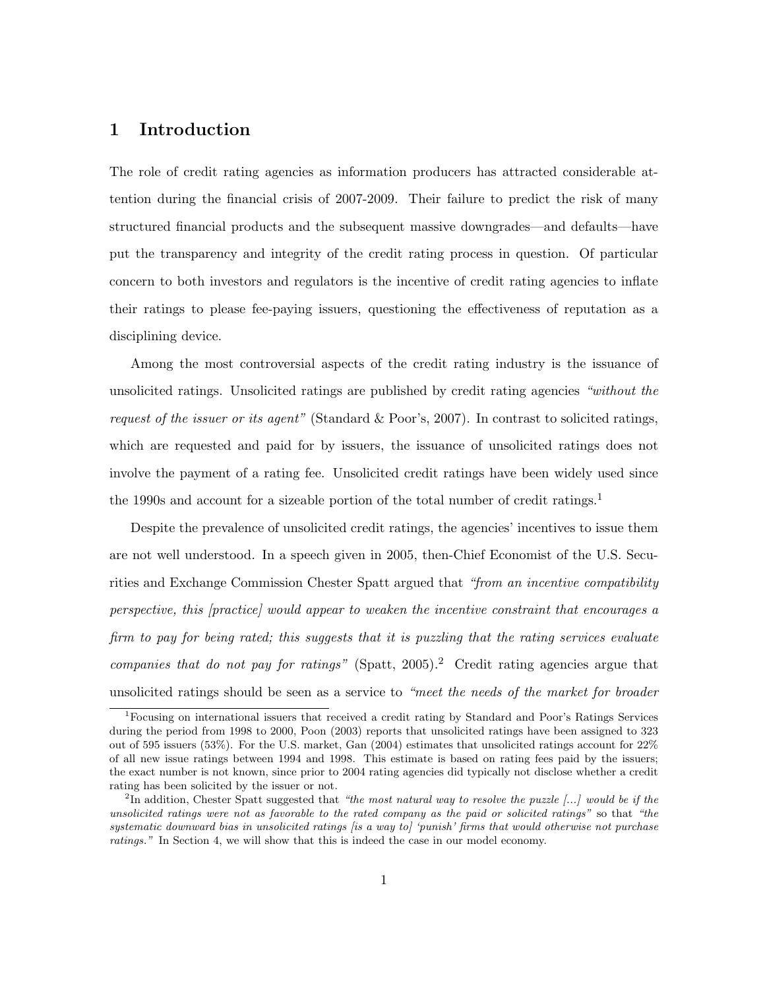#### 1 Introduction

The role of credit rating agencies as information producers has attracted considerable attention during the financial crisis of 2007-2009. Their failure to predict the risk of many structured financial products and the subsequent massive downgrades—and defaults—have put the transparency and integrity of the credit rating process in question. Of particular concern to both investors and regulators is the incentive of credit rating agencies to inflate their ratings to please fee-paying issuers, questioning the effectiveness of reputation as a disciplining device.

Among the most controversial aspects of the credit rating industry is the issuance of unsolicited ratings. Unsolicited ratings are published by credit rating agencies "without the request of the issuer or its agent" (Standard & Poor's, 2007). In contrast to solicited ratings, which are requested and paid for by issuers, the issuance of unsolicited ratings does not involve the payment of a rating fee. Unsolicited credit ratings have been widely used since the 1990s and account for a sizeable portion of the total number of credit ratings.<sup>1</sup>

Despite the prevalence of unsolicited credit ratings, the agencies' incentives to issue them are not well understood. In a speech given in 2005, then-Chief Economist of the U.S. Securities and Exchange Commission Chester Spatt argued that "from an incentive compatibility perspective, this [practice] would appear to weaken the incentive constraint that encourages a firm to pay for being rated; this suggests that it is puzzling that the rating services evaluate companies that do not pay for ratings" (Spatt, 2005).<sup>2</sup> Credit rating agencies argue that unsolicited ratings should be seen as a service to "meet the needs of the market for broader

<sup>1</sup>Focusing on international issuers that received a credit rating by Standard and Poor's Ratings Services during the period from 1998 to 2000, Poon (2003) reports that unsolicited ratings have been assigned to 323 out of 595 issuers (53%). For the U.S. market, Gan (2004) estimates that unsolicited ratings account for 22% of all new issue ratings between 1994 and 1998. This estimate is based on rating fees paid by the issuers; the exact number is not known, since prior to 2004 rating agencies did typically not disclose whether a credit rating has been solicited by the issuer or not.

<sup>&</sup>lt;sup>2</sup>In addition, Chester Spatt suggested that "the most natural way to resolve the puzzle  $[...]$  would be if the unsolicited ratings were not as favorable to the rated company as the paid or solicited ratings" so that "the systematic downward bias in unsolicited ratings (is a way to) 'punish' firms that would otherwise not purchase ratings." In Section 4, we will show that this is indeed the case in our model economy.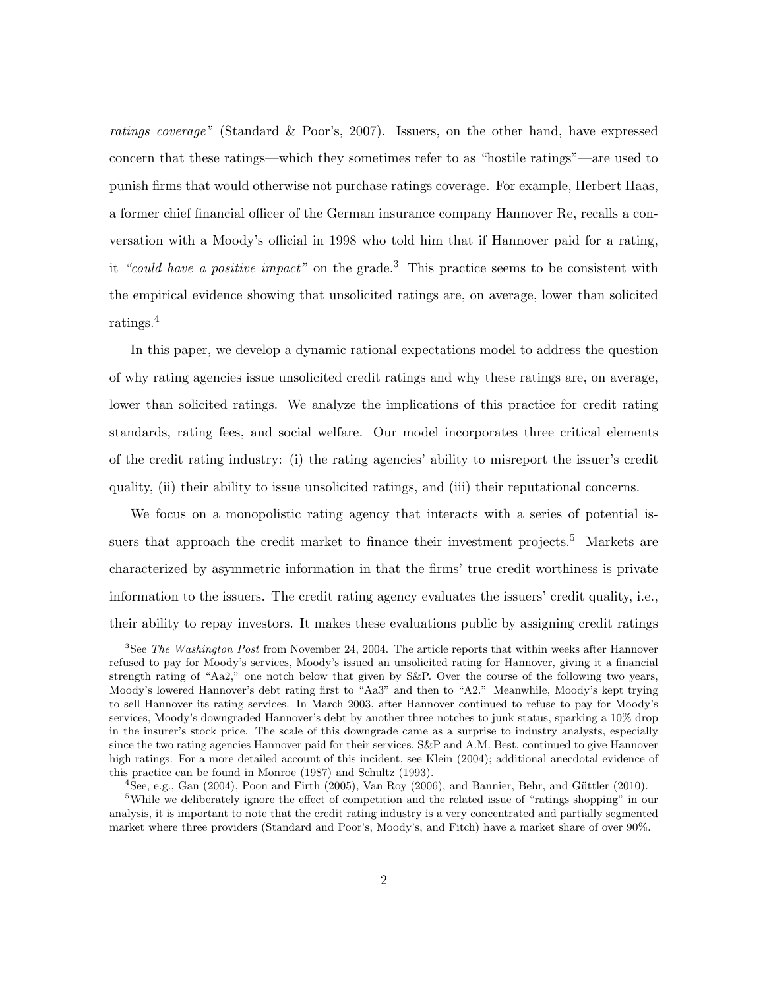ratings coverage" (Standard & Poor's, 2007). Issuers, on the other hand, have expressed concern that these ratings—which they sometimes refer to as "hostile ratings"—are used to punish firms that would otherwise not purchase ratings coverage. For example, Herbert Haas, a former chief financial officer of the German insurance company Hannover Re, recalls a conversation with a Moody's official in 1998 who told him that if Hannover paid for a rating, it "could have a positive impact" on the grade.<sup>3</sup> This practice seems to be consistent with the empirical evidence showing that unsolicited ratings are, on average, lower than solicited ratings.<sup>4</sup>

In this paper, we develop a dynamic rational expectations model to address the question of why rating agencies issue unsolicited credit ratings and why these ratings are, on average, lower than solicited ratings. We analyze the implications of this practice for credit rating standards, rating fees, and social welfare. Our model incorporates three critical elements of the credit rating industry: (i) the rating agencies' ability to misreport the issuer's credit quality, (ii) their ability to issue unsolicited ratings, and (iii) their reputational concerns.

We focus on a monopolistic rating agency that interacts with a series of potential issuers that approach the credit market to finance their investment projects.<sup>5</sup> Markets are characterized by asymmetric information in that the firms' true credit worthiness is private information to the issuers. The credit rating agency evaluates the issuers' credit quality, i.e., their ability to repay investors. It makes these evaluations public by assigning credit ratings

 $3$ See The Washington Post from November 24, 2004. The article reports that within weeks after Hannover refused to pay for Moody's services, Moody's issued an unsolicited rating for Hannover, giving it a financial strength rating of "Aa2," one notch below that given by S&P. Over the course of the following two years, Moody's lowered Hannover's debt rating first to "Aa3" and then to "A2." Meanwhile, Moody's kept trying to sell Hannover its rating services. In March 2003, after Hannover continued to refuse to pay for Moody's services, Moody's downgraded Hannover's debt by another three notches to junk status, sparking a 10% drop in the insurer's stock price. The scale of this downgrade came as a surprise to industry analysts, especially since the two rating agencies Hannover paid for their services, S&P and A.M. Best, continued to give Hannover high ratings. For a more detailed account of this incident, see Klein (2004); additional anecdotal evidence of this practice can be found in Monroe (1987) and Schultz (1993).

 $^{4}$ See, e.g., Gan (2004), Poon and Firth (2005), Van Roy (2006), and Bannier, Behr, and Güttler (2010).

<sup>5</sup>While we deliberately ignore the effect of competition and the related issue of "ratings shopping" in our analysis, it is important to note that the credit rating industry is a very concentrated and partially segmented market where three providers (Standard and Poor's, Moody's, and Fitch) have a market share of over 90%.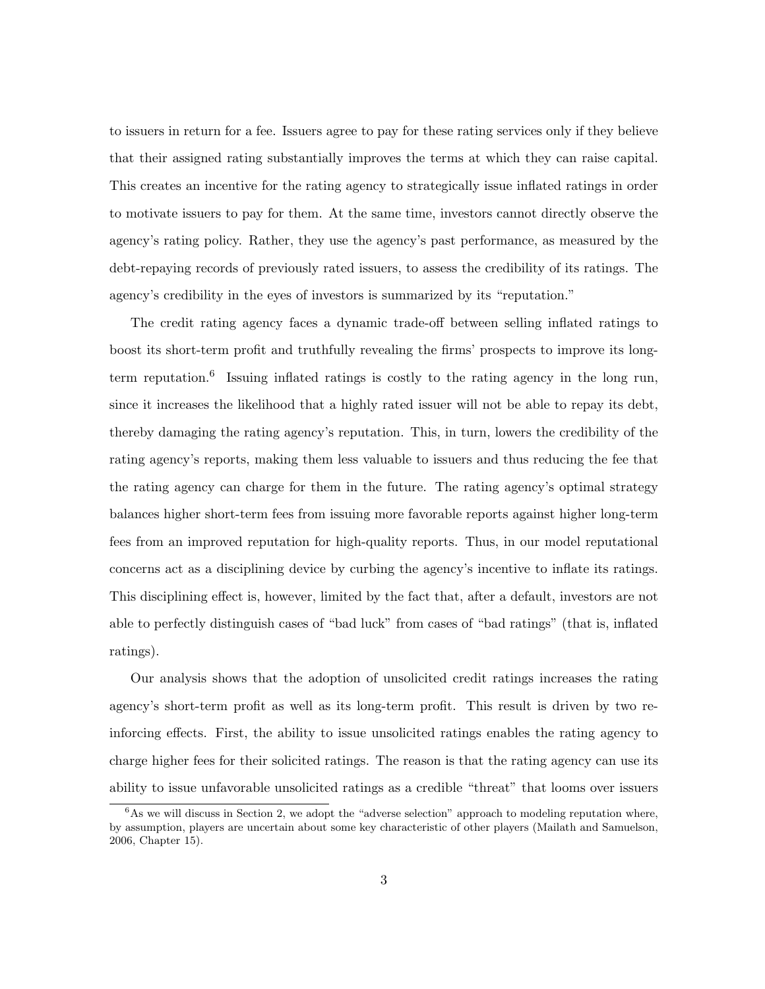to issuers in return for a fee. Issuers agree to pay for these rating services only if they believe that their assigned rating substantially improves the terms at which they can raise capital. This creates an incentive for the rating agency to strategically issue inflated ratings in order to motivate issuers to pay for them. At the same time, investors cannot directly observe the agency's rating policy. Rather, they use the agency's past performance, as measured by the debt-repaying records of previously rated issuers, to assess the credibility of its ratings. The agency's credibility in the eyes of investors is summarized by its "reputation."

The credit rating agency faces a dynamic trade-off between selling inflated ratings to boost its short-term profit and truthfully revealing the firms' prospects to improve its longterm reputation.<sup>6</sup> Issuing inflated ratings is costly to the rating agency in the long run, since it increases the likelihood that a highly rated issuer will not be able to repay its debt, thereby damaging the rating agency's reputation. This, in turn, lowers the credibility of the rating agency's reports, making them less valuable to issuers and thus reducing the fee that the rating agency can charge for them in the future. The rating agency's optimal strategy balances higher short-term fees from issuing more favorable reports against higher long-term fees from an improved reputation for high-quality reports. Thus, in our model reputational concerns act as a disciplining device by curbing the agency's incentive to inflate its ratings. This disciplining effect is, however, limited by the fact that, after a default, investors are not able to perfectly distinguish cases of "bad luck" from cases of "bad ratings" (that is, inflated ratings).

Our analysis shows that the adoption of unsolicited credit ratings increases the rating agency's short-term profit as well as its long-term profit. This result is driven by two reinforcing effects. First, the ability to issue unsolicited ratings enables the rating agency to charge higher fees for their solicited ratings. The reason is that the rating agency can use its ability to issue unfavorable unsolicited ratings as a credible "threat" that looms over issuers

 ${}^{6}$ As we will discuss in Section 2, we adopt the "adverse selection" approach to modeling reputation where, by assumption, players are uncertain about some key characteristic of other players (Mailath and Samuelson, 2006, Chapter 15).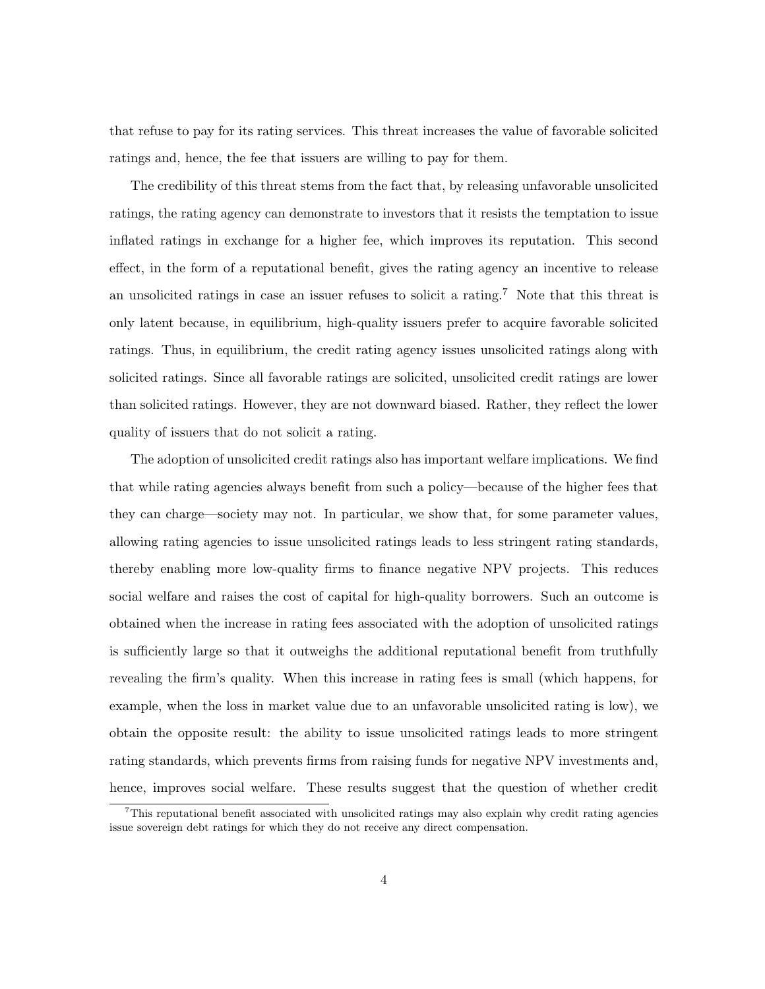that refuse to pay for its rating services. This threat increases the value of favorable solicited ratings and, hence, the fee that issuers are willing to pay for them.

The credibility of this threat stems from the fact that, by releasing unfavorable unsolicited ratings, the rating agency can demonstrate to investors that it resists the temptation to issue inflated ratings in exchange for a higher fee, which improves its reputation. This second effect, in the form of a reputational benefit, gives the rating agency an incentive to release an unsolicited ratings in case an issuer refuses to solicit a rating.<sup>7</sup> Note that this threat is only latent because, in equilibrium, high-quality issuers prefer to acquire favorable solicited ratings. Thus, in equilibrium, the credit rating agency issues unsolicited ratings along with solicited ratings. Since all favorable ratings are solicited, unsolicited credit ratings are lower than solicited ratings. However, they are not downward biased. Rather, they reflect the lower quality of issuers that do not solicit a rating.

The adoption of unsolicited credit ratings also has important welfare implications. We find that while rating agencies always benefit from such a policy—because of the higher fees that they can charge—society may not. In particular, we show that, for some parameter values, allowing rating agencies to issue unsolicited ratings leads to less stringent rating standards, thereby enabling more low-quality firms to finance negative NPV projects. This reduces social welfare and raises the cost of capital for high-quality borrowers. Such an outcome is obtained when the increase in rating fees associated with the adoption of unsolicited ratings is sufficiently large so that it outweighs the additional reputational benefit from truthfully revealing the firm's quality. When this increase in rating fees is small (which happens, for example, when the loss in market value due to an unfavorable unsolicited rating is low), we obtain the opposite result: the ability to issue unsolicited ratings leads to more stringent rating standards, which prevents firms from raising funds for negative NPV investments and, hence, improves social welfare. These results suggest that the question of whether credit

<sup>7</sup>This reputational benefit associated with unsolicited ratings may also explain why credit rating agencies issue sovereign debt ratings for which they do not receive any direct compensation.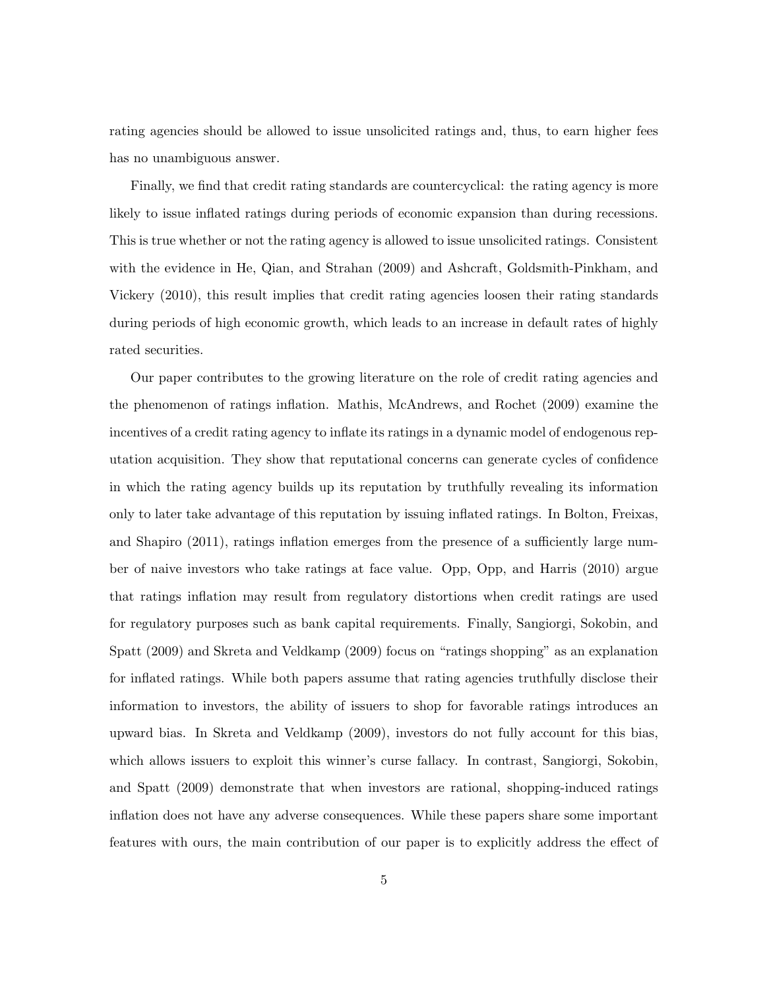rating agencies should be allowed to issue unsolicited ratings and, thus, to earn higher fees has no unambiguous answer.

Finally, we find that credit rating standards are countercyclical: the rating agency is more likely to issue inflated ratings during periods of economic expansion than during recessions. This is true whether or not the rating agency is allowed to issue unsolicited ratings. Consistent with the evidence in He, Qian, and Strahan (2009) and Ashcraft, Goldsmith-Pinkham, and Vickery (2010), this result implies that credit rating agencies loosen their rating standards during periods of high economic growth, which leads to an increase in default rates of highly rated securities.

Our paper contributes to the growing literature on the role of credit rating agencies and the phenomenon of ratings inflation. Mathis, McAndrews, and Rochet (2009) examine the incentives of a credit rating agency to inflate its ratings in a dynamic model of endogenous reputation acquisition. They show that reputational concerns can generate cycles of confidence in which the rating agency builds up its reputation by truthfully revealing its information only to later take advantage of this reputation by issuing inflated ratings. In Bolton, Freixas, and Shapiro (2011), ratings inflation emerges from the presence of a sufficiently large number of naive investors who take ratings at face value. Opp, Opp, and Harris (2010) argue that ratings inflation may result from regulatory distortions when credit ratings are used for regulatory purposes such as bank capital requirements. Finally, Sangiorgi, Sokobin, and Spatt (2009) and Skreta and Veldkamp (2009) focus on "ratings shopping" as an explanation for inflated ratings. While both papers assume that rating agencies truthfully disclose their information to investors, the ability of issuers to shop for favorable ratings introduces an upward bias. In Skreta and Veldkamp (2009), investors do not fully account for this bias, which allows issuers to exploit this winner's curse fallacy. In contrast, Sangiorgi, Sokobin, and Spatt (2009) demonstrate that when investors are rational, shopping-induced ratings inflation does not have any adverse consequences. While these papers share some important features with ours, the main contribution of our paper is to explicitly address the effect of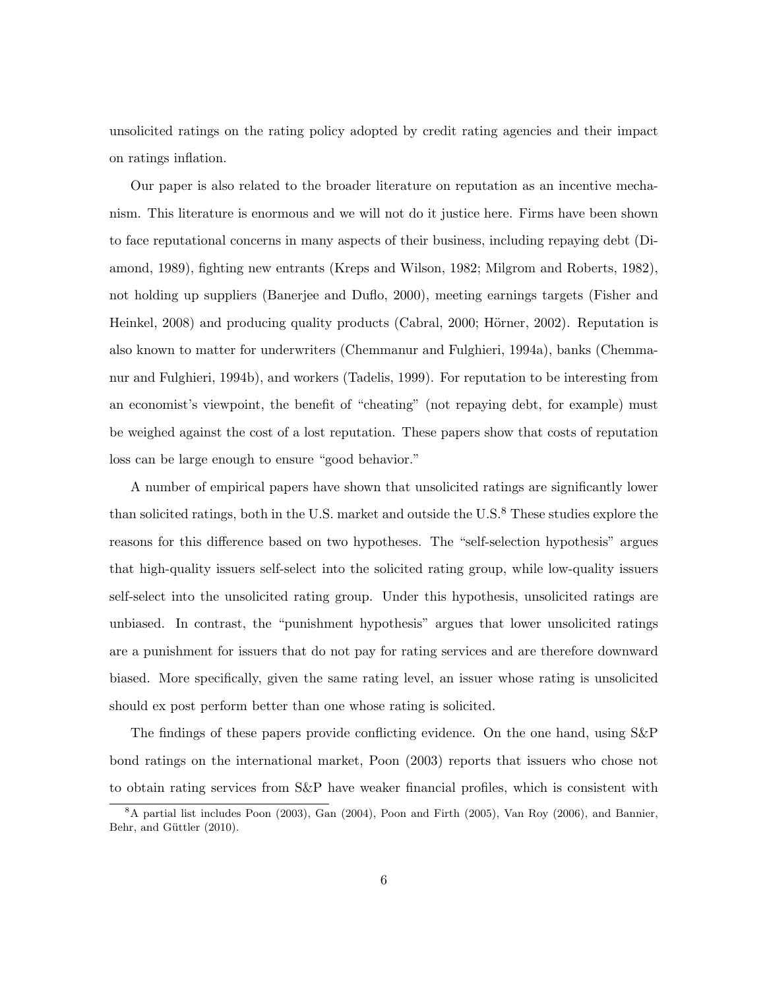unsolicited ratings on the rating policy adopted by credit rating agencies and their impact on ratings inflation.

Our paper is also related to the broader literature on reputation as an incentive mechanism. This literature is enormous and we will not do it justice here. Firms have been shown to face reputational concerns in many aspects of their business, including repaying debt (Diamond, 1989), fighting new entrants (Kreps and Wilson, 1982; Milgrom and Roberts, 1982), not holding up suppliers (Banerjee and Duflo, 2000), meeting earnings targets (Fisher and Heinkel, 2008) and producing quality products (Cabral, 2000; Hörner, 2002). Reputation is also known to matter for underwriters (Chemmanur and Fulghieri, 1994a), banks (Chemmanur and Fulghieri, 1994b), and workers (Tadelis, 1999). For reputation to be interesting from an economist's viewpoint, the benefit of "cheating" (not repaying debt, for example) must be weighed against the cost of a lost reputation. These papers show that costs of reputation loss can be large enough to ensure "good behavior."

A number of empirical papers have shown that unsolicited ratings are significantly lower than solicited ratings, both in the U.S. market and outside the U.S. $<sup>8</sup>$  These studies explore the</sup> reasons for this difference based on two hypotheses. The "self-selection hypothesis" argues that high-quality issuers self-select into the solicited rating group, while low-quality issuers self-select into the unsolicited rating group. Under this hypothesis, unsolicited ratings are unbiased. In contrast, the "punishment hypothesis" argues that lower unsolicited ratings are a punishment for issuers that do not pay for rating services and are therefore downward biased. More specifically, given the same rating level, an issuer whose rating is unsolicited should ex post perform better than one whose rating is solicited.

The findings of these papers provide conflicting evidence. On the one hand, using S&P bond ratings on the international market, Poon (2003) reports that issuers who chose not to obtain rating services from S&P have weaker financial profiles, which is consistent with

<sup>8</sup>A partial list includes Poon (2003), Gan (2004), Poon and Firth (2005), Van Roy (2006), and Bannier, Behr, and Güttler (2010).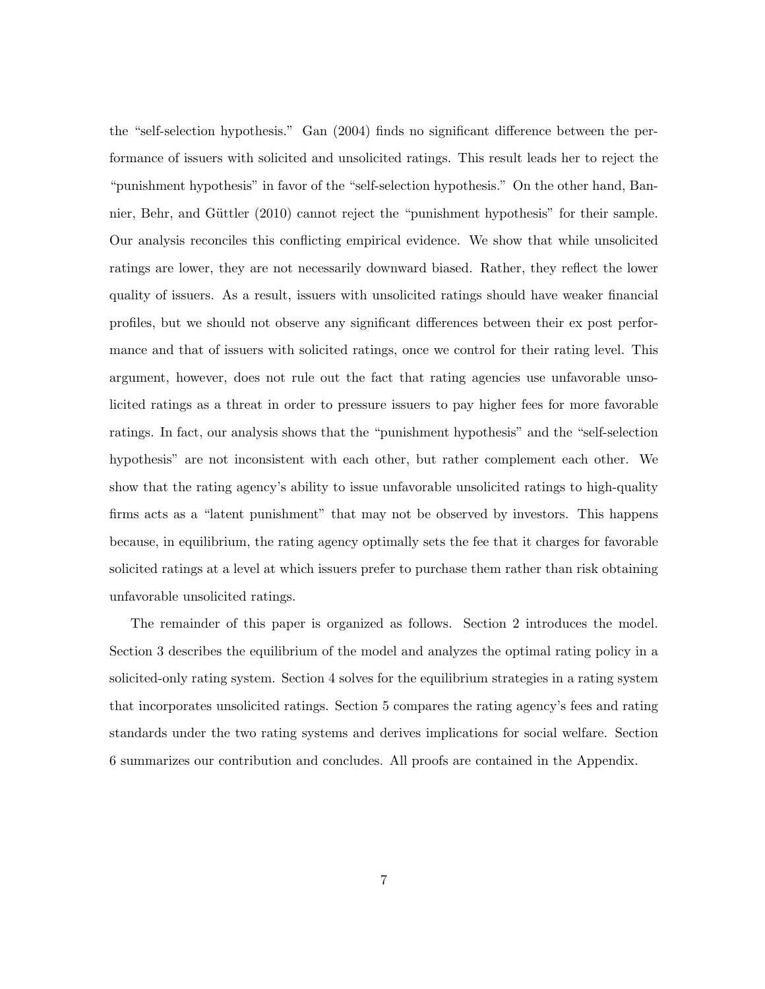the "self-selection hypothesis." Gan (2004) finds no significant difference between the performance of issuers with solicited and unsolicited ratings. This result leads her to reject the "punishment hypothesis" in favor of the "self-selection hypothesis." On the other hand, Bannier, Behr, and Güttler (2010) cannot reject the "punishment hypothesis" for their sample. Our analysis reconciles this conflicting empirical evidence. We show that while unsolicited ratings are lower, they are not necessarily downward biased. Rather, they reflect the lower quality of issuers. As a result, issuers with unsolicited ratings should have weaker financial profiles, but we should not observe any significant differences between their ex post performance and that of issuers with solicited ratings, once we control for their rating level. This argument, however, does not rule out the fact that rating agencies use unfavorable unsolicited ratings as a threat in order to pressure issuers to pay higher fees for more favorable ratings. In fact, our analysis shows that the "punishment hypothesis" and the "self-selection hypothesis" are not inconsistent with each other, but rather complement each other. We show that the rating agency's ability to issue unfavorable unsolicited ratings to high-quality firms acts as a "latent punishment" that may not be observed by investors. This happens because, in equilibrium, the rating agency optimally sets the fee that it charges for favorable solicited ratings at a level at which issuers prefer to purchase them rather than risk obtaining unfavorable unsolicited ratings.

The remainder of this paper is organized as follows. Section 2 introduces the model. Section 3 describes the equilibrium of the model and analyzes the optimal rating policy in a solicited-only rating system. Section 4 solves for the equilibrium strategies in a rating system that incorporates unsolicited ratings. Section 5 compares the rating agency's fees and rating standards under the two rating systems and derives implications for social welfare. Section 6 summarizes our contribution and concludes. All proofs are contained in the Appendix.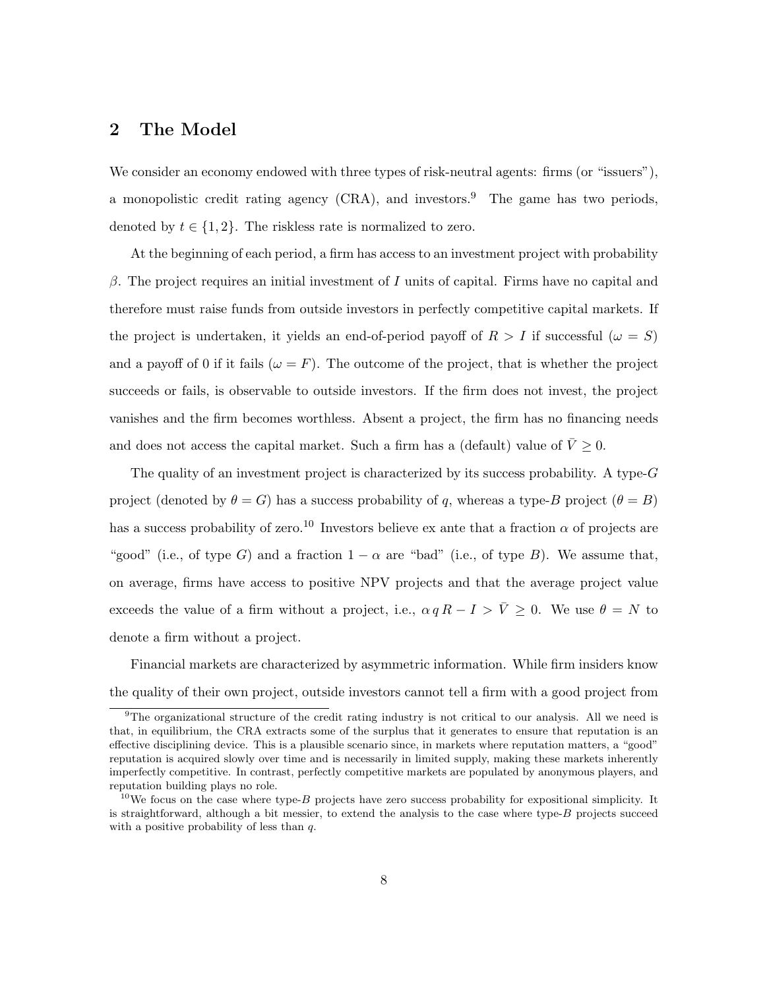# 2 The Model

We consider an economy endowed with three types of risk-neutral agents: firms (or "issuers"), a monopolistic credit rating agency  $(CRA)$ , and investors.<sup>9</sup> The game has two periods, denoted by  $t \in \{1,2\}$ . The riskless rate is normalized to zero.

At the beginning of each period, a firm has access to an investment project with probability β. The project requires an initial investment of I units of capital. Firms have no capital and therefore must raise funds from outside investors in perfectly competitive capital markets. If the project is undertaken, it yields an end-of-period payoff of  $R > I$  if successful  $(\omega = S)$ and a payoff of 0 if it fails  $(\omega = F)$ . The outcome of the project, that is whether the project succeeds or fails, is observable to outside investors. If the firm does not invest, the project vanishes and the firm becomes worthless. Absent a project, the firm has no financing needs and does not access the capital market. Such a firm has a (default) value of  $\bar{V} \geq 0$ .

The quality of an investment project is characterized by its success probability. A type- $G$ project (denoted by  $\theta = G$ ) has a success probability of q, whereas a type-B project  $(\theta = B)$ has a success probability of zero.<sup>10</sup> Investors believe ex ante that a fraction  $\alpha$  of projects are "good" (i.e., of type G) and a fraction  $1 - \alpha$  are "bad" (i.e., of type B). We assume that, on average, firms have access to positive NPV projects and that the average project value exceeds the value of a firm without a project, i.e.,  $\alpha q R - I > \overline{V} \ge 0$ . We use  $\theta = N$  to denote a firm without a project.

Financial markets are characterized by asymmetric information. While firm insiders know the quality of their own project, outside investors cannot tell a firm with a good project from

<sup>9</sup>The organizational structure of the credit rating industry is not critical to our analysis. All we need is that, in equilibrium, the CRA extracts some of the surplus that it generates to ensure that reputation is an effective disciplining device. This is a plausible scenario since, in markets where reputation matters, a "good" reputation is acquired slowly over time and is necessarily in limited supply, making these markets inherently imperfectly competitive. In contrast, perfectly competitive markets are populated by anonymous players, and reputation building plays no role.

 $10$ We focus on the case where type-B projects have zero success probability for expositional simplicity. It is straightforward, although a bit messier, to extend the analysis to the case where type- $B$  projects succeed with a positive probability of less than  $q$ .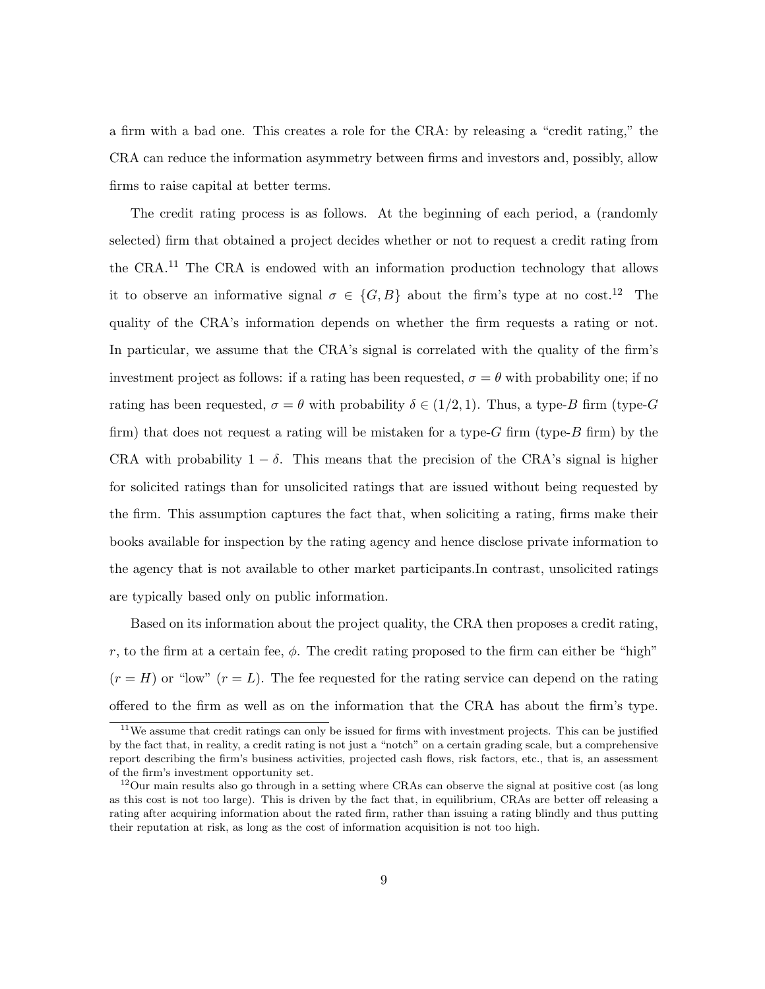a firm with a bad one. This creates a role for the CRA: by releasing a "credit rating," the CRA can reduce the information asymmetry between firms and investors and, possibly, allow firms to raise capital at better terms.

The credit rating process is as follows. At the beginning of each period, a (randomly selected) firm that obtained a project decides whether or not to request a credit rating from the CRA.<sup>11</sup> The CRA is endowed with an information production technology that allows it to observe an informative signal  $\sigma \in \{G, B\}$  about the firm's type at no cost.<sup>12</sup> The quality of the CRA's information depends on whether the firm requests a rating or not. In particular, we assume that the CRA's signal is correlated with the quality of the firm's investment project as follows: if a rating has been requested,  $\sigma = \theta$  with probability one; if no rating has been requested,  $\sigma = \theta$  with probability  $\delta \in (1/2, 1)$ . Thus, a type-B firm (type-G firm) that does not request a rating will be mistaken for a type- $G$  firm (type- $B$  firm) by the CRA with probability  $1 - \delta$ . This means that the precision of the CRA's signal is higher for solicited ratings than for unsolicited ratings that are issued without being requested by the firm. This assumption captures the fact that, when soliciting a rating, firms make their books available for inspection by the rating agency and hence disclose private information to the agency that is not available to other market participants.In contrast, unsolicited ratings are typically based only on public information.

Based on its information about the project quality, the CRA then proposes a credit rating, r, to the firm at a certain fee,  $\phi$ . The credit rating proposed to the firm can either be "high"  $(r = H)$  or "low"  $(r = L)$ . The fee requested for the rating service can depend on the rating offered to the firm as well as on the information that the CRA has about the firm's type.

 $11$ We assume that credit ratings can only be issued for firms with investment projects. This can be justified by the fact that, in reality, a credit rating is not just a "notch" on a certain grading scale, but a comprehensive report describing the firm's business activities, projected cash flows, risk factors, etc., that is, an assessment of the firm's investment opportunity set.

 $12$ Our main results also go through in a setting where CRAs can observe the signal at positive cost (as long as this cost is not too large). This is driven by the fact that, in equilibrium, CRAs are better off releasing a rating after acquiring information about the rated firm, rather than issuing a rating blindly and thus putting their reputation at risk, as long as the cost of information acquisition is not too high.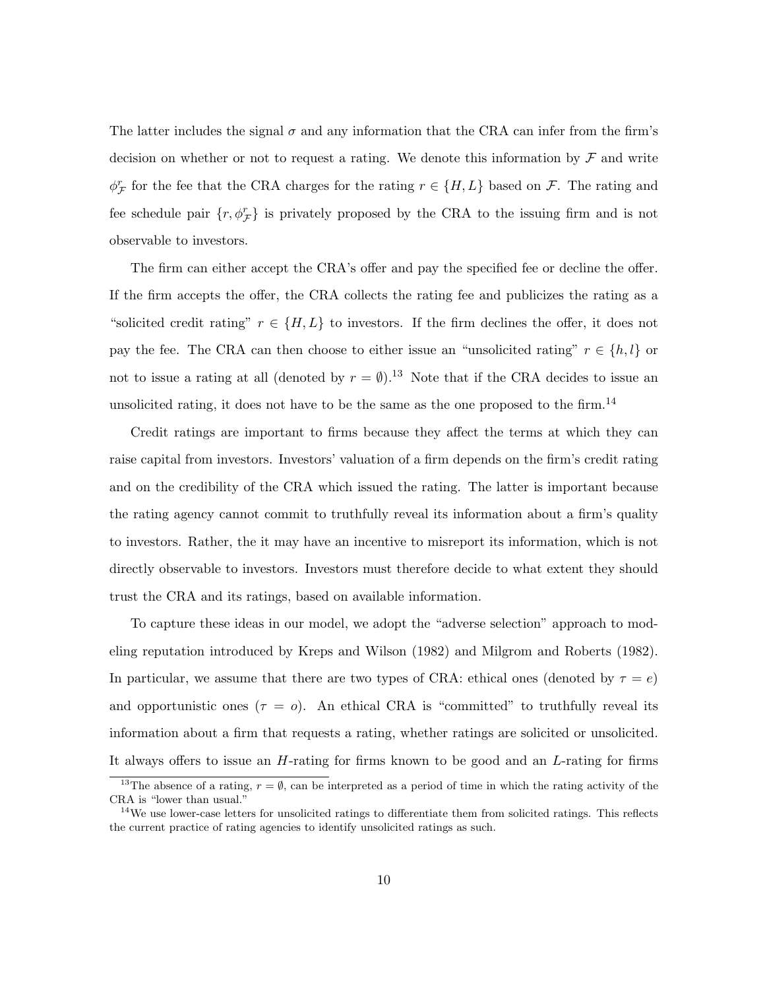The latter includes the signal  $\sigma$  and any information that the CRA can infer from the firm's decision on whether or not to request a rating. We denote this information by  $\mathcal F$  and write  $\phi_{\mathcal{F}}^r$  for the fee that the CRA charges for the rating  $r \in \{H, L\}$  based on  $\mathcal{F}$ . The rating and fee schedule pair  $\{r, \phi_{\mathcal{F}}^r\}$  is privately proposed by the CRA to the issuing firm and is not observable to investors.

The firm can either accept the CRA's offer and pay the specified fee or decline the offer. If the firm accepts the offer, the CRA collects the rating fee and publicizes the rating as a "solicited credit rating"  $r \in \{H, L\}$  to investors. If the firm declines the offer, it does not pay the fee. The CRA can then choose to either issue an "unsolicited rating"  $r \in \{h, l\}$  or not to issue a rating at all (denoted by  $r = \emptyset$ ).<sup>13</sup> Note that if the CRA decides to issue an unsolicited rating, it does not have to be the same as the one proposed to the firm.<sup>14</sup>

Credit ratings are important to firms because they affect the terms at which they can raise capital from investors. Investors' valuation of a firm depends on the firm's credit rating and on the credibility of the CRA which issued the rating. The latter is important because the rating agency cannot commit to truthfully reveal its information about a firm's quality to investors. Rather, the it may have an incentive to misreport its information, which is not directly observable to investors. Investors must therefore decide to what extent they should trust the CRA and its ratings, based on available information.

To capture these ideas in our model, we adopt the "adverse selection" approach to modeling reputation introduced by Kreps and Wilson (1982) and Milgrom and Roberts (1982). In particular, we assume that there are two types of CRA: ethical ones (denoted by  $\tau = e$ ) and opportunistic ones  $(\tau = o)$ . An ethical CRA is "committed" to truthfully reveal its information about a firm that requests a rating, whether ratings are solicited or unsolicited. It always offers to issue an H-rating for firms known to be good and an L-rating for firms

<sup>&</sup>lt;sup>13</sup>The absence of a rating,  $r = \emptyset$ , can be interpreted as a period of time in which the rating activity of the CRA is "lower than usual."

 $14$ We use lower-case letters for unsolicited ratings to differentiate them from solicited ratings. This reflects the current practice of rating agencies to identify unsolicited ratings as such.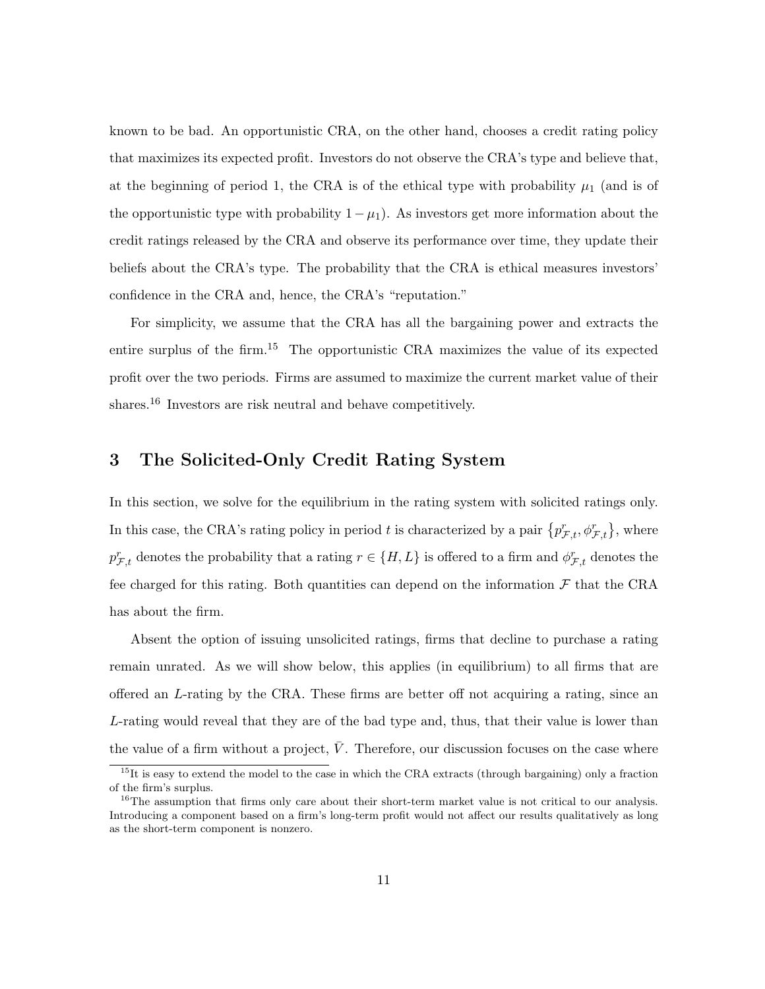known to be bad. An opportunistic CRA, on the other hand, chooses a credit rating policy that maximizes its expected profit. Investors do not observe the CRA's type and believe that, at the beginning of period 1, the CRA is of the ethical type with probability  $\mu_1$  (and is of the opportunistic type with probability  $1 - \mu_1$ ). As investors get more information about the credit ratings released by the CRA and observe its performance over time, they update their beliefs about the CRA's type. The probability that the CRA is ethical measures investors' confidence in the CRA and, hence, the CRA's "reputation."

For simplicity, we assume that the CRA has all the bargaining power and extracts the entire surplus of the firm.<sup>15</sup> The opportunistic CRA maximizes the value of its expected profit over the two periods. Firms are assumed to maximize the current market value of their shares.<sup>16</sup> Investors are risk neutral and behave competitively.

### 3 The Solicited-Only Credit Rating System

In this section, we solve for the equilibrium in the rating system with solicited ratings only. In this case, the CRA's rating policy in period t is characterized by a pair  $\{p_{\mathcal{F},t}^r, \phi_{\mathcal{F},t}^r\}$ , where  $p_{\mathcal{F},t}^r$  denotes the probability that a rating  $r \in \{H,L\}$  is offered to a firm and  $\phi_{\mathcal{F},t}^r$  denotes the fee charged for this rating. Both quantities can depend on the information  $\mathcal F$  that the CRA has about the firm.

Absent the option of issuing unsolicited ratings, firms that decline to purchase a rating remain unrated. As we will show below, this applies (in equilibrium) to all firms that are offered an L-rating by the CRA. These firms are better off not acquiring a rating, since an L-rating would reveal that they are of the bad type and, thus, that their value is lower than the value of a firm without a project,  $\overline{V}$ . Therefore, our discussion focuses on the case where

<sup>&</sup>lt;sup>15</sup>It is easy to extend the model to the case in which the CRA extracts (through bargaining) only a fraction of the firm's surplus.

<sup>&</sup>lt;sup>16</sup>The assumption that firms only care about their short-term market value is not critical to our analysis. Introducing a component based on a firm's long-term profit would not affect our results qualitatively as long as the short-term component is nonzero.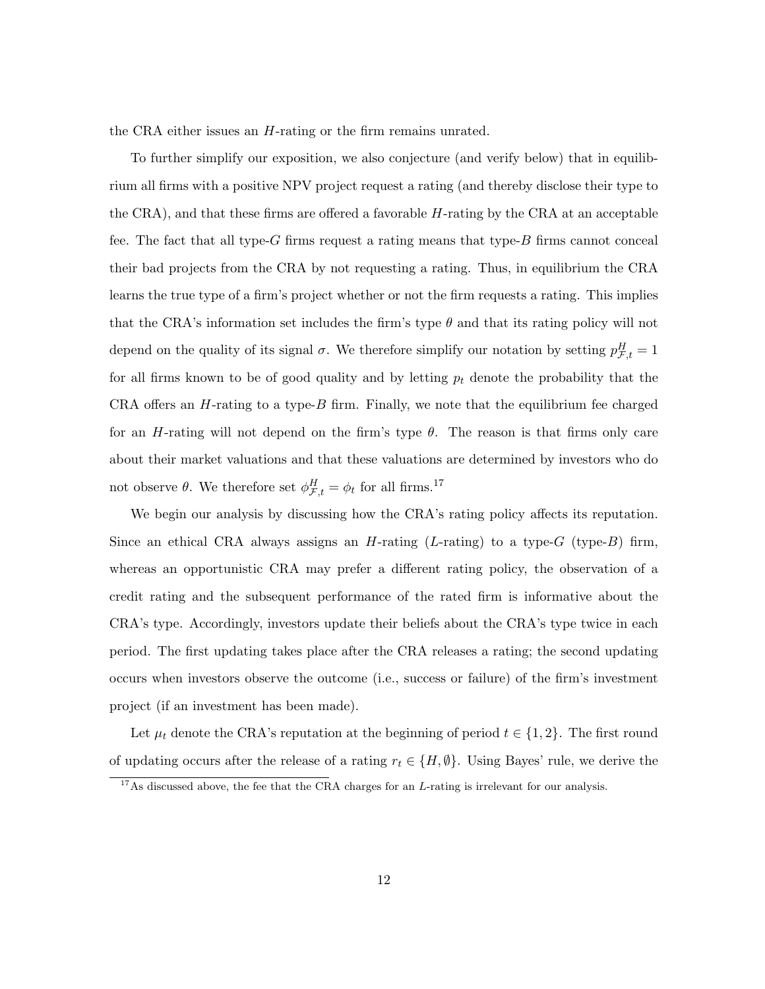the CRA either issues an H-rating or the firm remains unrated.

To further simplify our exposition, we also conjecture (and verify below) that in equilibrium all firms with a positive NPV project request a rating (and thereby disclose their type to the CRA), and that these firms are offered a favorable H-rating by the CRA at an acceptable fee. The fact that all type- $G$  firms request a rating means that type- $B$  firms cannot conceal their bad projects from the CRA by not requesting a rating. Thus, in equilibrium the CRA learns the true type of a firm's project whether or not the firm requests a rating. This implies that the CRA's information set includes the firm's type  $\theta$  and that its rating policy will not depend on the quality of its signal  $\sigma$ . We therefore simplify our notation by setting  $p_{\mathcal{F},t}^H = 1$ for all firms known to be of good quality and by letting  $p_t$  denote the probability that the CRA offers an  $H$ -rating to a type- $B$  firm. Finally, we note that the equilibrium fee charged for an H-rating will not depend on the firm's type  $\theta$ . The reason is that firms only care about their market valuations and that these valuations are determined by investors who do not observe  $\theta$ . We therefore set  $\phi_{\mathcal{F},t}^H = \phi_t$  for all firms.<sup>17</sup>

We begin our analysis by discussing how the CRA's rating policy affects its reputation. Since an ethical CRA always assigns an  $H$ -rating (L-rating) to a type- $G$  (type- $B$ ) firm, whereas an opportunistic CRA may prefer a different rating policy, the observation of a credit rating and the subsequent performance of the rated firm is informative about the CRA's type. Accordingly, investors update their beliefs about the CRA's type twice in each period. The first updating takes place after the CRA releases a rating; the second updating occurs when investors observe the outcome (i.e., success or failure) of the firm's investment project (if an investment has been made).

Let  $\mu_t$  denote the CRA's reputation at the beginning of period  $t \in \{1, 2\}$ . The first round of updating occurs after the release of a rating  $r_t \in \{H, \emptyset\}$ . Using Bayes' rule, we derive the

<sup>&</sup>lt;sup>17</sup>As discussed above, the fee that the CRA charges for an  $L$ -rating is irrelevant for our analysis.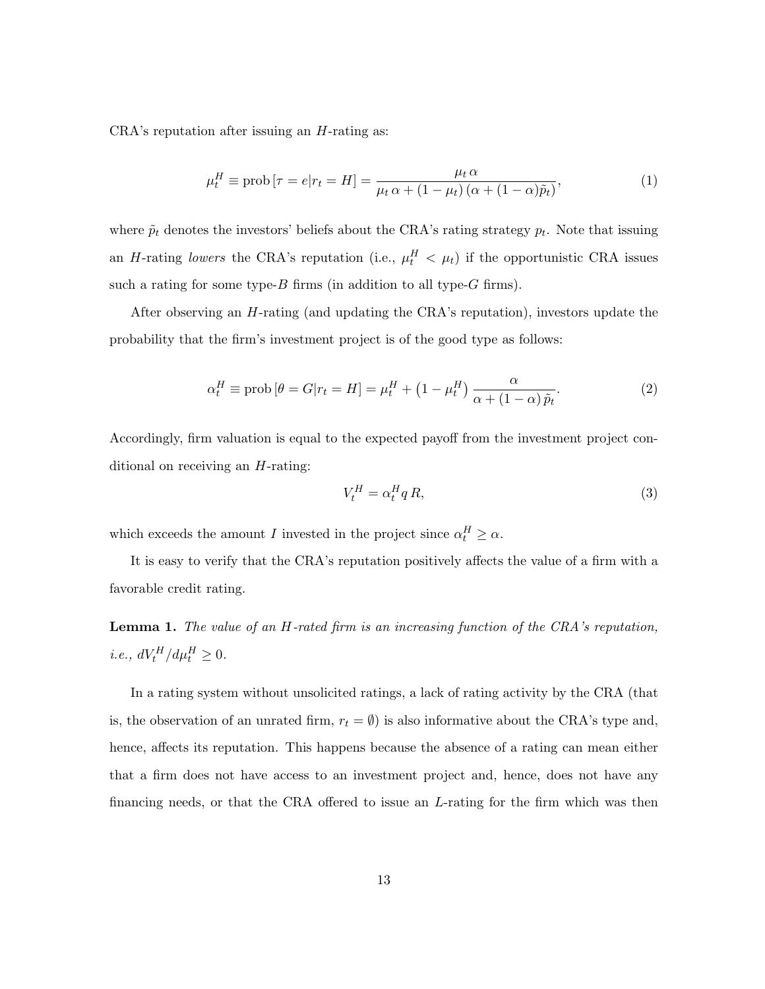CRA's reputation after issuing an H-rating as:

$$
\mu_t^H \equiv \text{prob}\left[\tau = e | r_t = H\right] = \frac{\mu_t \alpha}{\mu_t \alpha + (1 - \mu_t) \left(\alpha + (1 - \alpha)\tilde{p}_t\right)},\tag{1}
$$

where  $\tilde{p}_t$  denotes the investors' beliefs about the CRA's rating strategy  $p_t$ . Note that issuing an H-rating lowers the CRA's reputation (i.e.,  $\mu_t^H$   $\langle \mu_t \rangle$ ) if the opportunistic CRA issues such a rating for some type- $B$  firms (in addition to all type- $G$  firms).

After observing an H-rating (and updating the CRA's reputation), investors update the probability that the firm's investment project is of the good type as follows:

$$
\alpha_t^H \equiv \text{prob}\left[\theta = G|r_t = H\right] = \mu_t^H + \left(1 - \mu_t^H\right) \frac{\alpha}{\alpha + (1 - \alpha)\tilde{p}_t}.\tag{2}
$$

Accordingly, firm valuation is equal to the expected payoff from the investment project conditional on receiving an H-rating:

$$
V_t^H = \alpha_t^H q R,\tag{3}
$$

which exceeds the amount I invested in the project since  $\alpha_t^H \geq \alpha$ .

It is easy to verify that the CRA's reputation positively affects the value of a firm with a favorable credit rating.

Lemma 1. The value of an H-rated firm is an increasing function of the CRA's reputation,  $i.e., dV_t^H/d\mu_t^H \geq 0.$ 

In a rating system without unsolicited ratings, a lack of rating activity by the CRA (that is, the observation of an unrated firm,  $r_t = \emptyset$  is also informative about the CRA's type and, hence, affects its reputation. This happens because the absence of a rating can mean either that a firm does not have access to an investment project and, hence, does not have any financing needs, or that the CRA offered to issue an L-rating for the firm which was then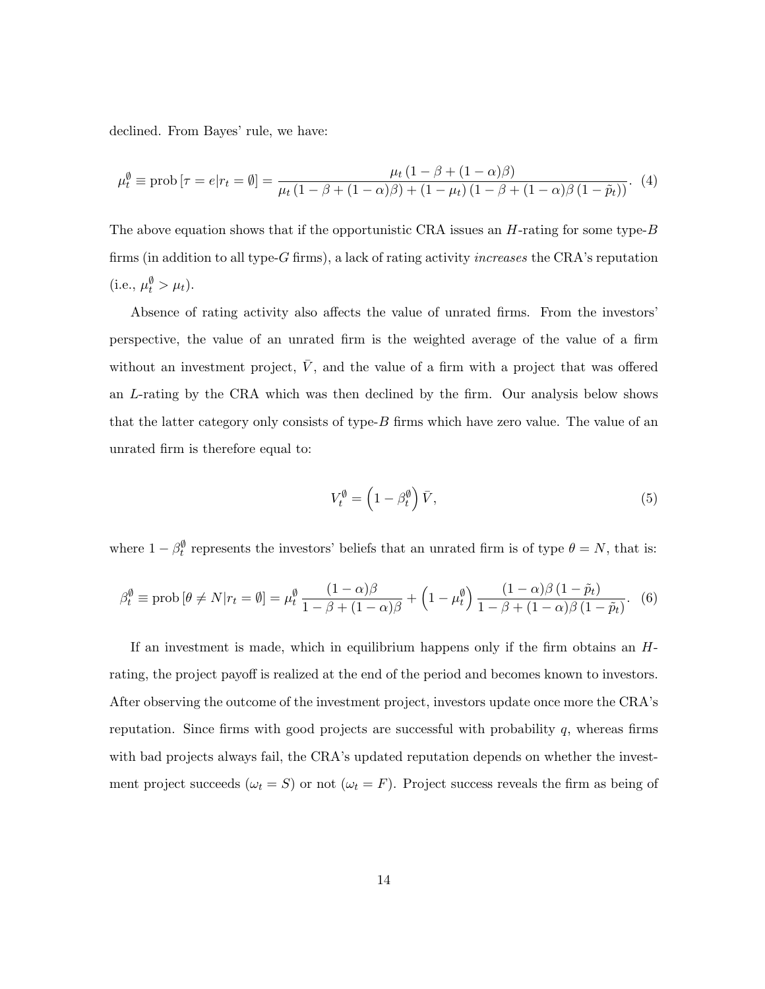declined. From Bayes' rule, we have:

$$
\mu_t^{\emptyset} \equiv \text{prob}\left[\tau = e | r_t = \emptyset\right] = \frac{\mu_t \left(1 - \beta + (1 - \alpha)\beta\right)}{\mu_t \left(1 - \beta + (1 - \alpha)\beta\right) + (1 - \mu_t)\left(1 - \beta + (1 - \alpha)\beta\right)\left(1 - \tilde{p}_t\right)}.
$$
 (4)

The above equation shows that if the opportunistic CRA issues an  $H$ -rating for some type- $B$ firms (in addition to all type- $G$  firms), a lack of rating activity *increases* the CRA's reputation (i.e.,  $\mu_t^{\emptyset} > \mu_t$ ).

Absence of rating activity also affects the value of unrated firms. From the investors' perspective, the value of an unrated firm is the weighted average of the value of a firm without an investment project,  $\bar{V}$ , and the value of a firm with a project that was offered an L-rating by the CRA which was then declined by the firm. Our analysis below shows that the latter category only consists of type- $B$  firms which have zero value. The value of an unrated firm is therefore equal to:

$$
V_t^{\emptyset} = \left(1 - \beta_t^{\emptyset}\right) \bar{V},\tag{5}
$$

where  $1 - \beta_t^{\emptyset}$  represents the investors' beliefs that an unrated firm is of type  $\theta = N$ , that is:

$$
\beta_t^{\emptyset} \equiv \text{prob}\left[\theta \neq N | r_t = \emptyset\right] = \mu_t^{\emptyset} \frac{(1-\alpha)\beta}{1-\beta+(1-\alpha)\beta} + \left(1-\mu_t^{\emptyset}\right) \frac{(1-\alpha)\beta(1-\tilde{p}_t)}{1-\beta+(1-\alpha)\beta(1-\tilde{p}_t)}. (6)
$$

If an investment is made, which in equilibrium happens only if the firm obtains an  $H$ rating, the project payoff is realized at the end of the period and becomes known to investors. After observing the outcome of the investment project, investors update once more the CRA's reputation. Since firms with good projects are successful with probability  $q$ , whereas firms with bad projects always fail, the CRA's updated reputation depends on whether the investment project succeeds ( $\omega_t = S$ ) or not ( $\omega_t = F$ ). Project success reveals the firm as being of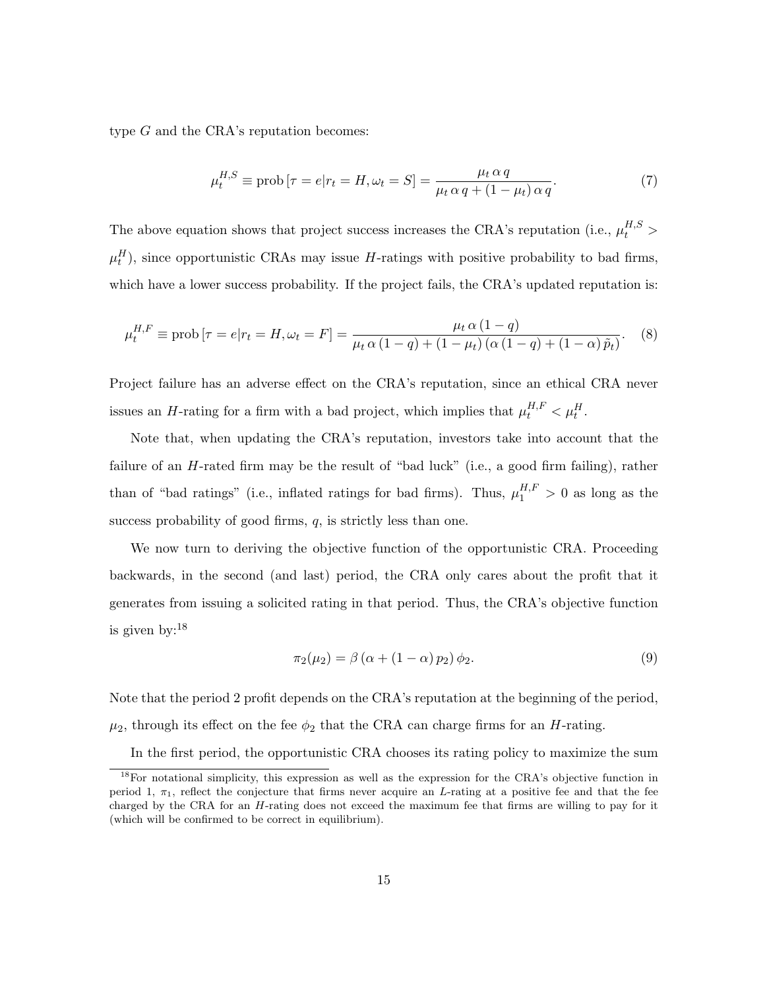type G and the CRA's reputation becomes:

$$
\mu_t^{H,S} \equiv \text{prob}\left[\tau = e | r_t = H, \omega_t = S\right] = \frac{\mu_t \alpha q}{\mu_t \alpha q + (1 - \mu_t) \alpha q}.
$$
\n(7)

The above equation shows that project success increases the CRA's reputation (i.e.,  $\mu_t^{H,S}$ )  $\mu_t^H$ ), since opportunistic CRAs may issue H-ratings with positive probability to bad firms, which have a lower success probability. If the project fails, the CRA's updated reputation is:

$$
\mu_t^{H,F} \equiv \text{prob}\left[\tau = e | r_t = H, \omega_t = F\right] = \frac{\mu_t \alpha \left(1 - q\right)}{\mu_t \alpha \left(1 - q\right) + \left(1 - \mu_t\right) \left(\alpha \left(1 - q\right) + \left(1 - \alpha\right) \tilde{p}_t\right)}.
$$
 (8)

Project failure has an adverse effect on the CRA's reputation, since an ethical CRA never issues an *H*-rating for a firm with a bad project, which implies that  $\mu_t^{H,F} < \mu_t^H$ .

Note that, when updating the CRA's reputation, investors take into account that the failure of an  $H$ -rated firm may be the result of "bad luck" (i.e., a good firm failing), rather than of "bad ratings" (i.e., inflated ratings for bad firms). Thus,  $\mu_1^{H,F} > 0$  as long as the success probability of good firms,  $q$ , is strictly less than one.

We now turn to deriving the objective function of the opportunistic CRA. Proceeding backwards, in the second (and last) period, the CRA only cares about the profit that it generates from issuing a solicited rating in that period. Thus, the CRA's objective function is given by:<sup>18</sup>

$$
\pi_2(\mu_2) = \beta \left( \alpha + (1 - \alpha) p_2 \right) \phi_2. \tag{9}
$$

Note that the period 2 profit depends on the CRA's reputation at the beginning of the period,  $\mu_2$ , through its effect on the fee  $\phi_2$  that the CRA can charge firms for an *H*-rating.

In the first period, the opportunistic CRA chooses its rating policy to maximize the sum

<sup>18</sup>For notational simplicity, this expression as well as the expression for the CRA's objective function in period 1,  $\pi_1$ , reflect the conjecture that firms never acquire an L-rating at a positive fee and that the fee charged by the CRA for an  $H$ -rating does not exceed the maximum fee that firms are willing to pay for it (which will be confirmed to be correct in equilibrium).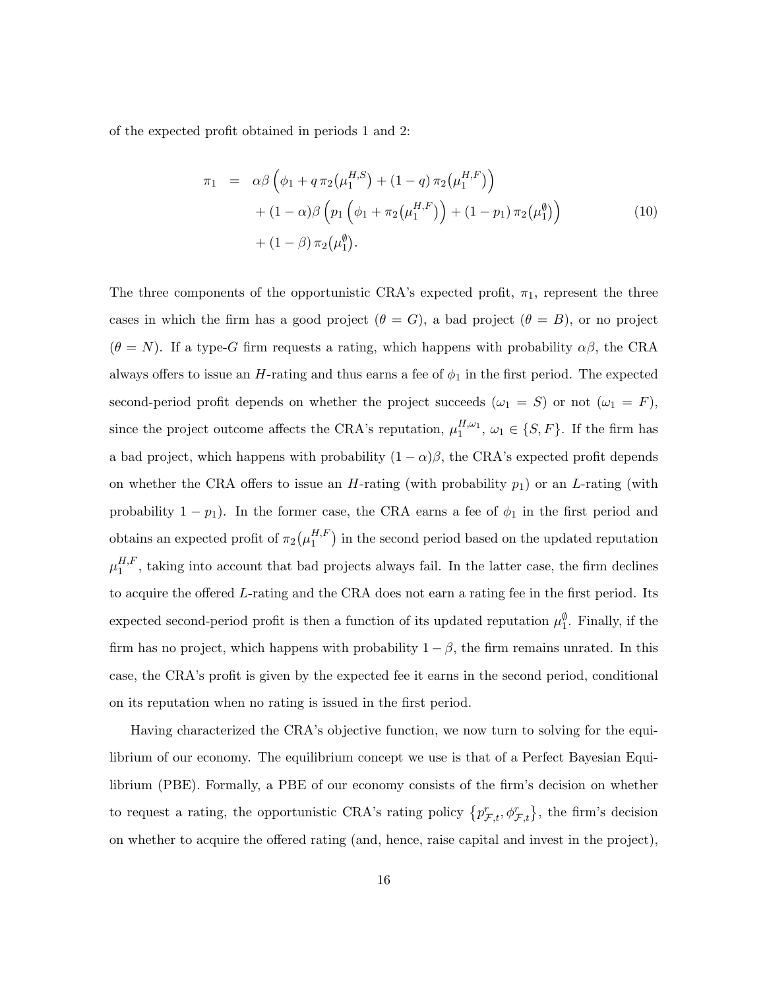of the expected profit obtained in periods 1 and 2:

$$
\pi_1 = \alpha \beta \left( \phi_1 + q \pi_2(\mu_1^{H,S}) + (1-q) \pi_2(\mu_1^{H,F}) \right) \n+ (1-\alpha) \beta \left( p_1 \left( \phi_1 + \pi_2(\mu_1^{H,F}) \right) + (1-p_1) \pi_2(\mu_1^{\emptyset}) \right) \n+ (1-\beta) \pi_2(\mu_1^{\emptyset}).
$$
\n(10)

The three components of the opportunistic CRA's expected profit,  $\pi_1$ , represent the three cases in which the firm has a good project  $(\theta = G)$ , a bad project  $(\theta = B)$ , or no project  $(\theta = N)$ . If a type-G firm requests a rating, which happens with probability  $\alpha\beta$ , the CRA always offers to issue an  $H$ -rating and thus earns a fee of  $\phi_1$  in the first period. The expected second-period profit depends on whether the project succeeds  $(\omega_1 = S)$  or not  $(\omega_1 = F)$ , since the project outcome affects the CRA's reputation,  $\mu_1^{H,\omega_1}, \omega_1 \in \{S, F\}$ . If the firm has a bad project, which happens with probability  $(1 - \alpha)\beta$ , the CRA's expected profit depends on whether the CRA offers to issue an  $H$ -rating (with probability  $p_1$ ) or an  $L$ -rating (with probability  $1 - p_1$ ). In the former case, the CRA earns a fee of  $\phi_1$  in the first period and obtains an expected profit of  $\pi_2(\mu_1^{H,F})$  $\binom{H,F}{1}$  in the second period based on the updated reputation  $\mu_1^{H,F}$  $1^{H,F}$ , taking into account that bad projects always fail. In the latter case, the firm declines to acquire the offered L-rating and the CRA does not earn a rating fee in the first period. Its expected second-period profit is then a function of its updated reputation  $\mu_1^{\emptyset}$ . Finally, if the firm has no project, which happens with probability  $1 - \beta$ , the firm remains unrated. In this case, the CRA's profit is given by the expected fee it earns in the second period, conditional on its reputation when no rating is issued in the first period.

Having characterized the CRA's objective function, we now turn to solving for the equilibrium of our economy. The equilibrium concept we use is that of a Perfect Bayesian Equilibrium (PBE). Formally, a PBE of our economy consists of the firm's decision on whether to request a rating, the opportunistic CRA's rating policy  $\{p_{\mathcal{F},t}^r, \phi_{\mathcal{F},t}^r\}$ , the firm's decision on whether to acquire the offered rating (and, hence, raise capital and invest in the project),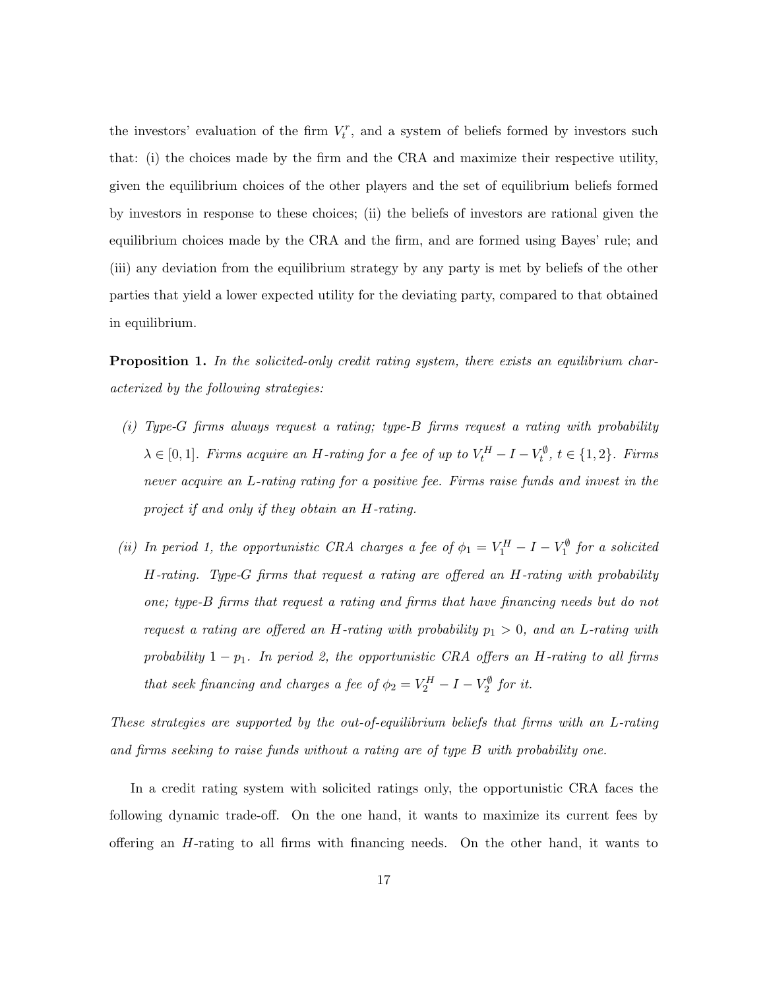the investors' evaluation of the firm  $V_t^r$ , and a system of beliefs formed by investors such that: (i) the choices made by the firm and the CRA and maximize their respective utility, given the equilibrium choices of the other players and the set of equilibrium beliefs formed by investors in response to these choices; (ii) the beliefs of investors are rational given the equilibrium choices made by the CRA and the firm, and are formed using Bayes' rule; and (iii) any deviation from the equilibrium strategy by any party is met by beliefs of the other parties that yield a lower expected utility for the deviating party, compared to that obtained in equilibrium.

**Proposition 1.** In the solicited-only credit rating system, there exists an equilibrium characterized by the following strategies:

- (i) Type-G firms always request a rating; type-B firms request a rating with probability  $\lambda \in [0,1]$ . Firms acquire an H-rating for a fee of up to  $V_t^H - I - V_t^{\emptyset}$ ,  $t \in \{1,2\}$ . Firms never acquire an L-rating rating for a positive fee. Firms raise funds and invest in the project if and only if they obtain an H-rating.
- (ii) In period 1, the opportunistic CRA charges a fee of  $\phi_1 = V_1^H I V_1^{\emptyset}$  for a solicited H-rating. Type-G firms that request a rating are offered an H-rating with probability one; type-B firms that request a rating and firms that have financing needs but do not request a rating are offered an H-rating with probability  $p_1 > 0$ , and an L-rating with probability  $1 - p_1$ . In period 2, the opportunistic CRA offers an H-rating to all firms that seek financing and charges a fee of  $\phi_2 = V_2^H - I - V_2^{\emptyset}$  for it.

These strategies are supported by the out-of-equilibrium beliefs that firms with an L-rating and firms seeking to raise funds without a rating are of type B with probability one.

In a credit rating system with solicited ratings only, the opportunistic CRA faces the following dynamic trade-off. On the one hand, it wants to maximize its current fees by offering an H-rating to all firms with financing needs. On the other hand, it wants to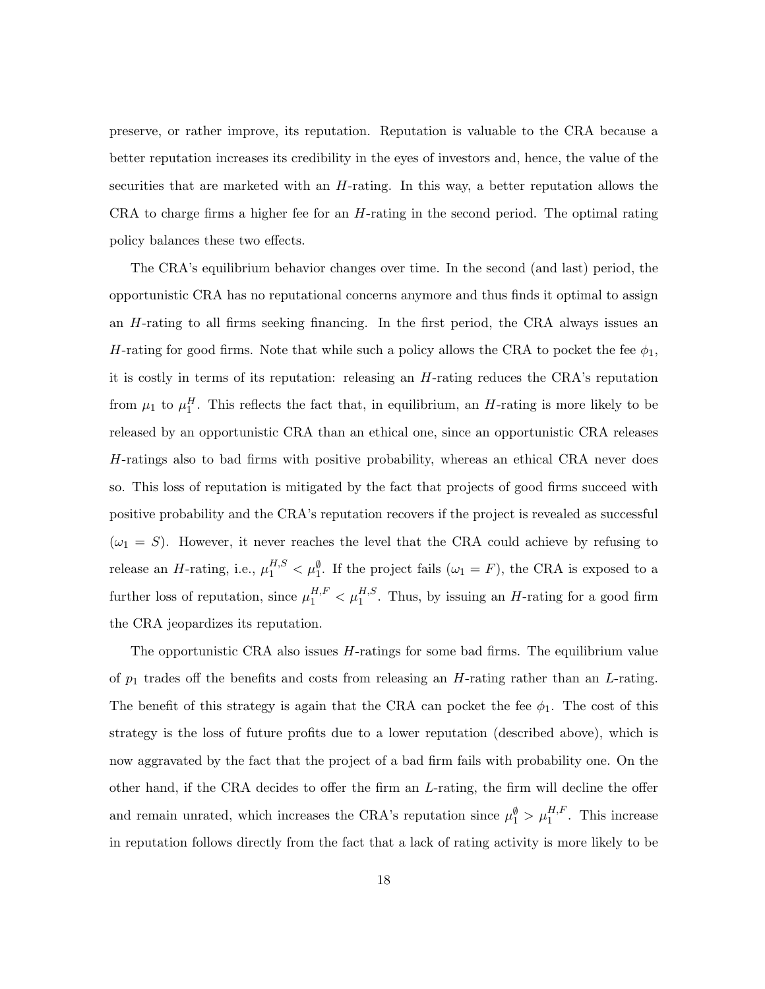preserve, or rather improve, its reputation. Reputation is valuable to the CRA because a better reputation increases its credibility in the eyes of investors and, hence, the value of the securities that are marketed with an H-rating. In this way, a better reputation allows the CRA to charge firms a higher fee for an  $H$ -rating in the second period. The optimal rating policy balances these two effects.

The CRA's equilibrium behavior changes over time. In the second (and last) period, the opportunistic CRA has no reputational concerns anymore and thus finds it optimal to assign an H-rating to all firms seeking financing. In the first period, the CRA always issues an H-rating for good firms. Note that while such a policy allows the CRA to pocket the fee  $\phi_1$ , it is costly in terms of its reputation: releasing an H-rating reduces the CRA's reputation from  $\mu_1$  to  $\mu_1^H$ . This reflects the fact that, in equilibrium, an *H*-rating is more likely to be released by an opportunistic CRA than an ethical one, since an opportunistic CRA releases H-ratings also to bad firms with positive probability, whereas an ethical CRA never does so. This loss of reputation is mitigated by the fact that projects of good firms succeed with positive probability and the CRA's reputation recovers if the project is revealed as successful  $(\omega_1 = S)$ . However, it never reaches the level that the CRA could achieve by refusing to release an H-rating, i.e.,  $\mu_1^{H,S} < \mu_1^{\emptyset}$ . If the project fails  $(\omega_1 = F)$ , the CRA is exposed to a further loss of reputation, since  $\mu_1^{H,F} < \mu_1^{H,S}$ . Thus, by issuing an H-rating for a good firm the CRA jeopardizes its reputation.

The opportunistic CRA also issues H-ratings for some bad firms. The equilibrium value of  $p_1$  trades off the benefits and costs from releasing an H-rating rather than an L-rating. The benefit of this strategy is again that the CRA can pocket the fee  $\phi_1$ . The cost of this strategy is the loss of future profits due to a lower reputation (described above), which is now aggravated by the fact that the project of a bad firm fails with probability one. On the other hand, if the CRA decides to offer the firm an L-rating, the firm will decline the offer and remain unrated, which increases the CRA's reputation since  $\mu_1^{\emptyset} > \mu_1^{H,F}$ . This increase in reputation follows directly from the fact that a lack of rating activity is more likely to be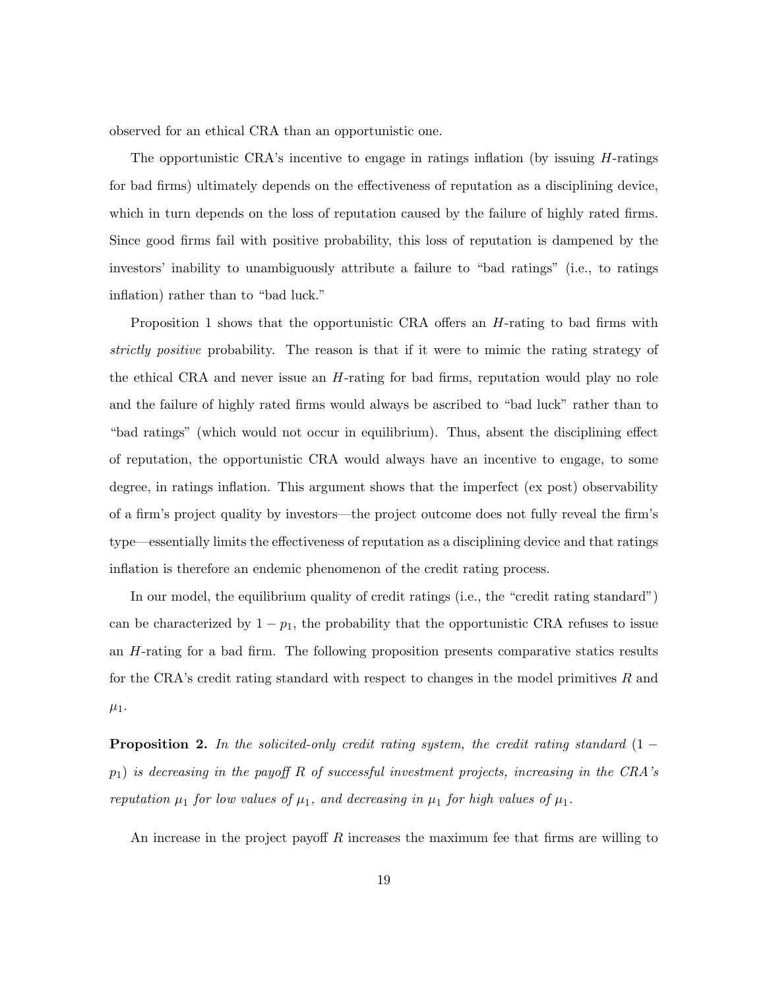observed for an ethical CRA than an opportunistic one.

The opportunistic CRA's incentive to engage in ratings inflation (by issuing H-ratings for bad firms) ultimately depends on the effectiveness of reputation as a disciplining device, which in turn depends on the loss of reputation caused by the failure of highly rated firms. Since good firms fail with positive probability, this loss of reputation is dampened by the investors' inability to unambiguously attribute a failure to "bad ratings" (i.e., to ratings inflation) rather than to "bad luck."

Proposition 1 shows that the opportunistic CRA offers an H-rating to bad firms with strictly positive probability. The reason is that if it were to mimic the rating strategy of the ethical CRA and never issue an  $H$ -rating for bad firms, reputation would play no role and the failure of highly rated firms would always be ascribed to "bad luck" rather than to "bad ratings" (which would not occur in equilibrium). Thus, absent the disciplining effect of reputation, the opportunistic CRA would always have an incentive to engage, to some degree, in ratings inflation. This argument shows that the imperfect (ex post) observability of a firm's project quality by investors—the project outcome does not fully reveal the firm's type—essentially limits the effectiveness of reputation as a disciplining device and that ratings inflation is therefore an endemic phenomenon of the credit rating process.

In our model, the equilibrium quality of credit ratings (i.e., the "credit rating standard") can be characterized by  $1 - p_1$ , the probability that the opportunistic CRA refuses to issue an H-rating for a bad firm. The following proposition presents comparative statics results for the CRA's credit rating standard with respect to changes in the model primitives  $R$  and  $\mu_1$ .

**Proposition 2.** In the solicited-only credit rating system, the credit rating standard  $(1$  $p_1$ ) is decreasing in the payoff R of successful investment projects, increasing in the CRA's reputation  $\mu_1$  for low values of  $\mu_1$ , and decreasing in  $\mu_1$  for high values of  $\mu_1$ .

An increase in the project payoff  $R$  increases the maximum fee that firms are willing to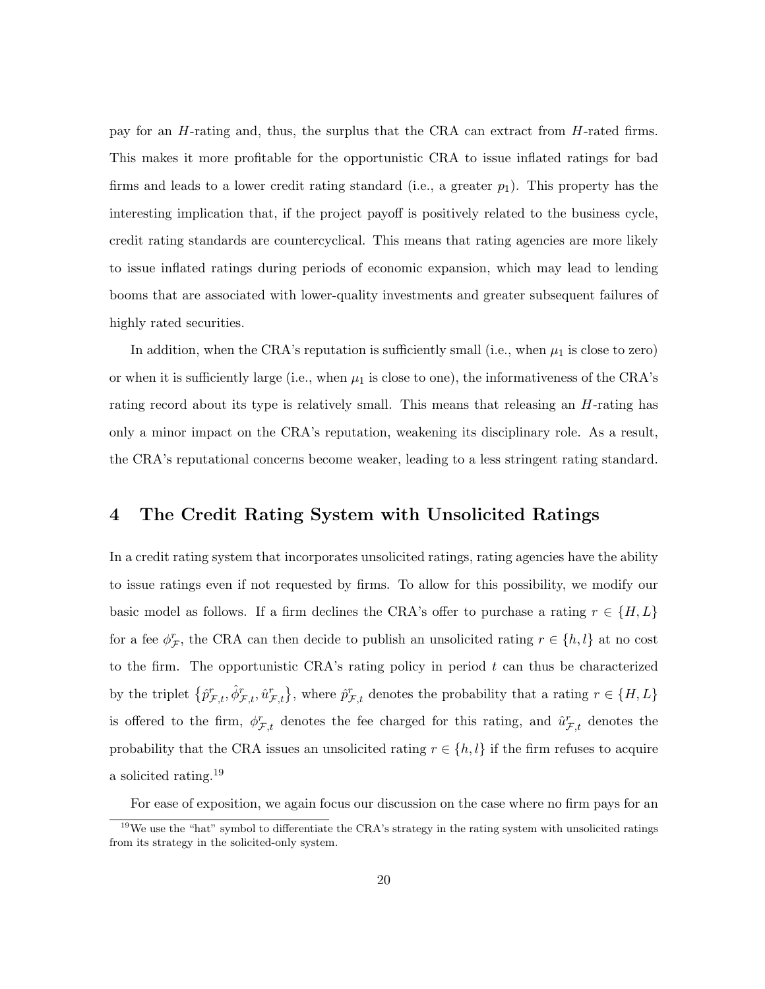pay for an H-rating and, thus, the surplus that the CRA can extract from H-rated firms. This makes it more profitable for the opportunistic CRA to issue inflated ratings for bad firms and leads to a lower credit rating standard (i.e., a greater  $p_1$ ). This property has the interesting implication that, if the project payoff is positively related to the business cycle, credit rating standards are countercyclical. This means that rating agencies are more likely to issue inflated ratings during periods of economic expansion, which may lead to lending booms that are associated with lower-quality investments and greater subsequent failures of highly rated securities.

In addition, when the CRA's reputation is sufficiently small (i.e., when  $\mu_1$  is close to zero) or when it is sufficiently large (i.e., when  $\mu_1$  is close to one), the informativeness of the CRA's rating record about its type is relatively small. This means that releasing an *H*-rating has only a minor impact on the CRA's reputation, weakening its disciplinary role. As a result, the CRA's reputational concerns become weaker, leading to a less stringent rating standard.

#### 4 The Credit Rating System with Unsolicited Ratings

In a credit rating system that incorporates unsolicited ratings, rating agencies have the ability to issue ratings even if not requested by firms. To allow for this possibility, we modify our basic model as follows. If a firm declines the CRA's offer to purchase a rating  $r \in \{H, L\}$ for a fee  $\phi_{\mathcal{F}}^r$ , the CRA can then decide to publish an unsolicited rating  $r \in \{h, l\}$  at no cost to the firm. The opportunistic CRA's rating policy in period  $t$  can thus be characterized by the triplet  $\{\hat{p}^r_{\mathcal{F},t}, \hat{\phi}^r_{\mathcal{F},t}, \hat{u}^r_{\mathcal{F},t}\}$ , where  $\hat{p}^r_{\mathcal{F},t}$  denotes the probability that a rating  $r \in \{H, L\}$ is offered to the firm,  $\phi_{\mathcal{F},t}^r$  denotes the fee charged for this rating, and  $\hat{u}_{\mathcal{F},t}^r$  denotes the probability that the CRA issues an unsolicited rating  $r \in \{h, l\}$  if the firm refuses to acquire a solicited rating.<sup>19</sup>

For ease of exposition, we again focus our discussion on the case where no firm pays for an

<sup>&</sup>lt;sup>19</sup>We use the "hat" symbol to differentiate the CRA's strategy in the rating system with unsolicited ratings from its strategy in the solicited-only system.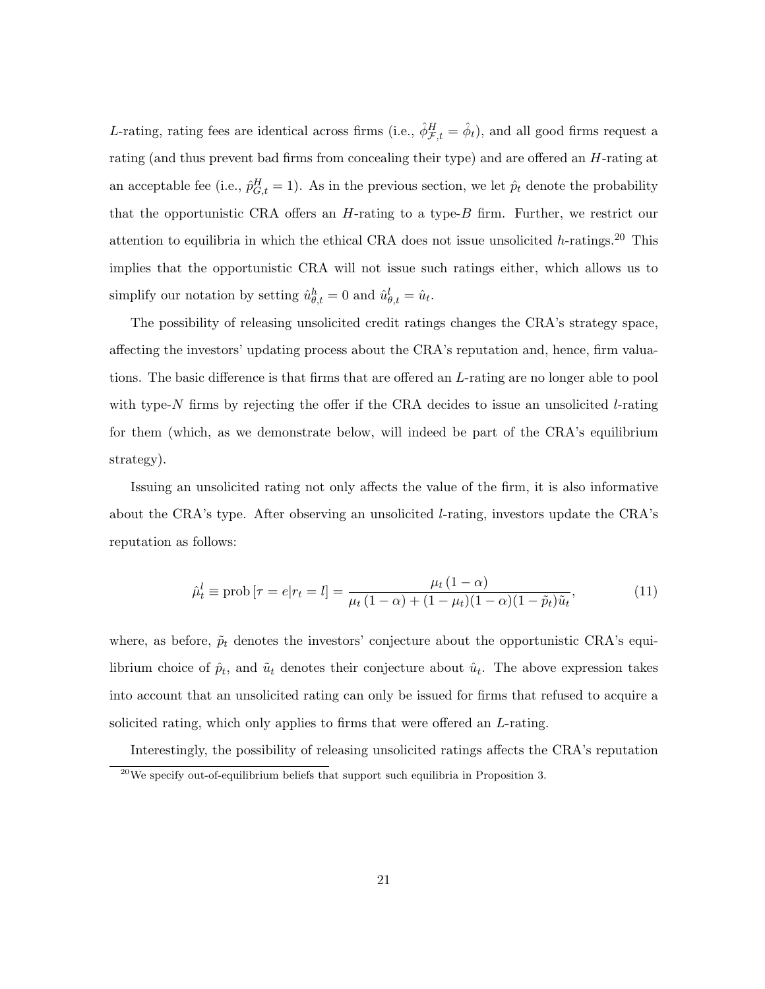L-rating, rating fees are identical across firms (i.e.,  $\hat{\phi}^H_{\mathcal{F},t} = \hat{\phi}_t$ ), and all good firms request a rating (and thus prevent bad firms from concealing their type) and are offered an H-rating at an acceptable fee (i.e.,  $\hat{p}_{G,t}^H = 1$ ). As in the previous section, we let  $\hat{p}_t$  denote the probability that the opportunistic CRA offers an  $H$ -rating to a type- $B$  firm. Further, we restrict our attention to equilibria in which the ethical CRA does not issue unsolicited  $h$ -ratings.<sup>20</sup> This implies that the opportunistic CRA will not issue such ratings either, which allows us to simplify our notation by setting  $\hat{u}_{\theta,t}^h = 0$  and  $\hat{u}_{\theta,t}^l = \hat{u}_t$ .

The possibility of releasing unsolicited credit ratings changes the CRA's strategy space, affecting the investors' updating process about the CRA's reputation and, hence, firm valuations. The basic difference is that firms that are offered an L-rating are no longer able to pool with type- $N$  firms by rejecting the offer if the CRA decides to issue an unsolicited  $l$ -rating for them (which, as we demonstrate below, will indeed be part of the CRA's equilibrium strategy).

Issuing an unsolicited rating not only affects the value of the firm, it is also informative about the CRA's type. After observing an unsolicited  $l$ -rating, investors update the CRA's reputation as follows:

$$
\hat{\mu}_t^l \equiv \text{prob}\left[\tau = e | r_t = l\right] = \frac{\mu_t \left(1 - \alpha\right)}{\mu_t \left(1 - \alpha\right) + \left(1 - \mu_t\right)\left(1 - \alpha\right)\left(1 - \tilde{p}_t\right)\tilde{u}_t},\tag{11}
$$

where, as before,  $\tilde{p}_t$  denotes the investors' conjecture about the opportunistic CRA's equilibrium choice of  $\hat{p}_t$ , and  $\tilde{u}_t$  denotes their conjecture about  $\hat{u}_t$ . The above expression takes into account that an unsolicited rating can only be issued for firms that refused to acquire a solicited rating, which only applies to firms that were offered an L-rating.

Interestingly, the possibility of releasing unsolicited ratings affects the CRA's reputation

 $^{20}$ We specify out-of-equilibrium beliefs that support such equilibria in Proposition 3.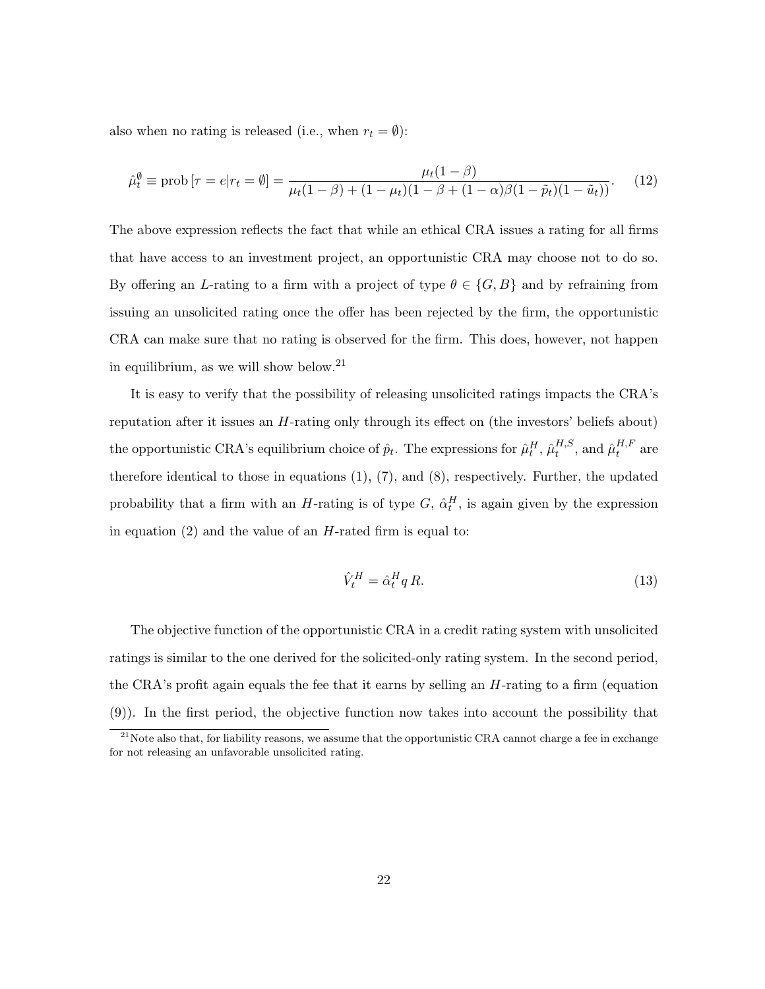also when no rating is released (i.e., when  $r_t = \emptyset$ ):

$$
\hat{\mu}_t^{\emptyset} \equiv \text{prob}\left[\tau = e | r_t = \emptyset\right] = \frac{\mu_t (1 - \beta)}{\mu_t (1 - \beta) + (1 - \mu_t)(1 - \beta + (1 - \alpha)\beta(1 - \tilde{p}_t)(1 - \tilde{u}_t))}.
$$
(12)

The above expression reflects the fact that while an ethical CRA issues a rating for all firms that have access to an investment project, an opportunistic CRA may choose not to do so. By offering an L-rating to a firm with a project of type  $\theta \in \{G, B\}$  and by refraining from issuing an unsolicited rating once the offer has been rejected by the firm, the opportunistic CRA can make sure that no rating is observed for the firm. This does, however, not happen in equilibrium, as we will show below.<sup>21</sup>

It is easy to verify that the possibility of releasing unsolicited ratings impacts the CRA's reputation after it issues an H-rating only through its effect on (the investors' beliefs about) the opportunistic CRA's equilibrium choice of  $\hat{p}_t$ . The expressions for  $\hat{\mu}_t^H$ ,  $\hat{\mu}_t^{H,S}$  $_{t}^{H,S},$  and  $\hat{\mu}_{t}^{H,F}$  $t^{H,F}$  are therefore identical to those in equations  $(1)$ ,  $(7)$ , and  $(8)$ , respectively. Further, the updated probability that a firm with an H-rating is of type  $G$ ,  $\hat{\alpha}_t^H$ , is again given by the expression in equation  $(2)$  and the value of an H-rated firm is equal to:

$$
\hat{V}_t^H = \hat{\alpha}_t^H q R. \tag{13}
$$

The objective function of the opportunistic CRA in a credit rating system with unsolicited ratings is similar to the one derived for the solicited-only rating system. In the second period, the CRA's profit again equals the fee that it earns by selling an  $H$ -rating to a firm (equation (9)). In the first period, the objective function now takes into account the possibility that

 $^{21}$ Note also that, for liability reasons, we assume that the opportunistic CRA cannot charge a fee in exchange for not releasing an unfavorable unsolicited rating.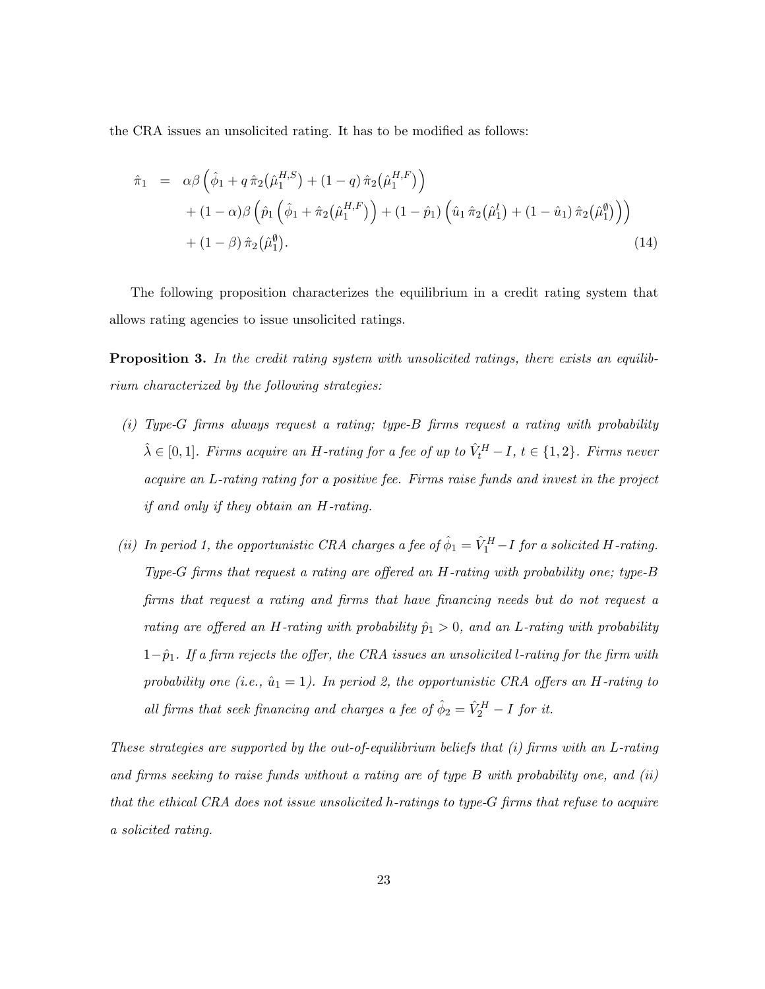the CRA issues an unsolicited rating. It has to be modified as follows:

$$
\hat{\pi}_1 = \alpha \beta \left( \hat{\phi}_1 + q \,\hat{\pi}_2 \big( \hat{\mu}_1^{H,S} \big) + (1-q) \,\hat{\pi}_2 \big( \hat{\mu}_1^{H,F} \big) \right) \n+ (1-\alpha) \beta \left( \hat{p}_1 \left( \hat{\phi}_1 + \hat{\pi}_2 \big( \hat{\mu}_1^{H,F} \big) \right) + (1-\hat{p}_1) \left( \hat{u}_1 \,\hat{\pi}_2 \big( \hat{\mu}_1^l \big) + (1-\hat{u}_1) \,\hat{\pi}_2 \big( \hat{\mu}_1^{\emptyset} \big) \right) \right) \n+ (1-\beta) \,\hat{\pi}_2 \big( \hat{\mu}_1^{\emptyset} \big).
$$
\n(14)

The following proposition characterizes the equilibrium in a credit rating system that allows rating agencies to issue unsolicited ratings.

**Proposition 3.** In the credit rating system with unsolicited ratings, there exists an equilibrium characterized by the following strategies:

- (i) Type-G firms always request a rating; type-B firms request a rating with probability  $\hat{\lambda} \in [0,1]$ . Firms acquire an H-rating for a fee of up to  $\hat{V}_t^H - I$ ,  $t \in \{1,2\}$ . Firms never acquire an L-rating rating for a positive fee. Firms raise funds and invest in the project if and only if they obtain an H-rating.
- (ii) In period 1, the opportunistic CRA charges a fee of  $\hat{\phi}_1 = \hat{V}_1^H I$  for a solicited H-rating. Type-G firms that request a rating are offered an H-rating with probability one; type-B firms that request a rating and firms that have financing needs but do not request a rating are offered an H-rating with probability  $\hat{p}_1 > 0$ , and an L-rating with probability  $1-p<sub>1</sub>$ . If a firm rejects the offer, the CRA issues an unsolicited l-rating for the firm with probability one (i.e.,  $\hat{u}_1 = 1$ ). In period 2, the opportunistic CRA offers an H-rating to all firms that seek financing and charges a fee of  $\hat{\phi}_2 = \hat{V}_2^H - I$  for it.

These strategies are supported by the out-of-equilibrium beliefs that (i) firms with an L-rating and firms seeking to raise funds without a rating are of type B with probability one, and (ii) that the ethical CRA does not issue unsolicited h-ratings to type-G firms that refuse to acquire a solicited rating.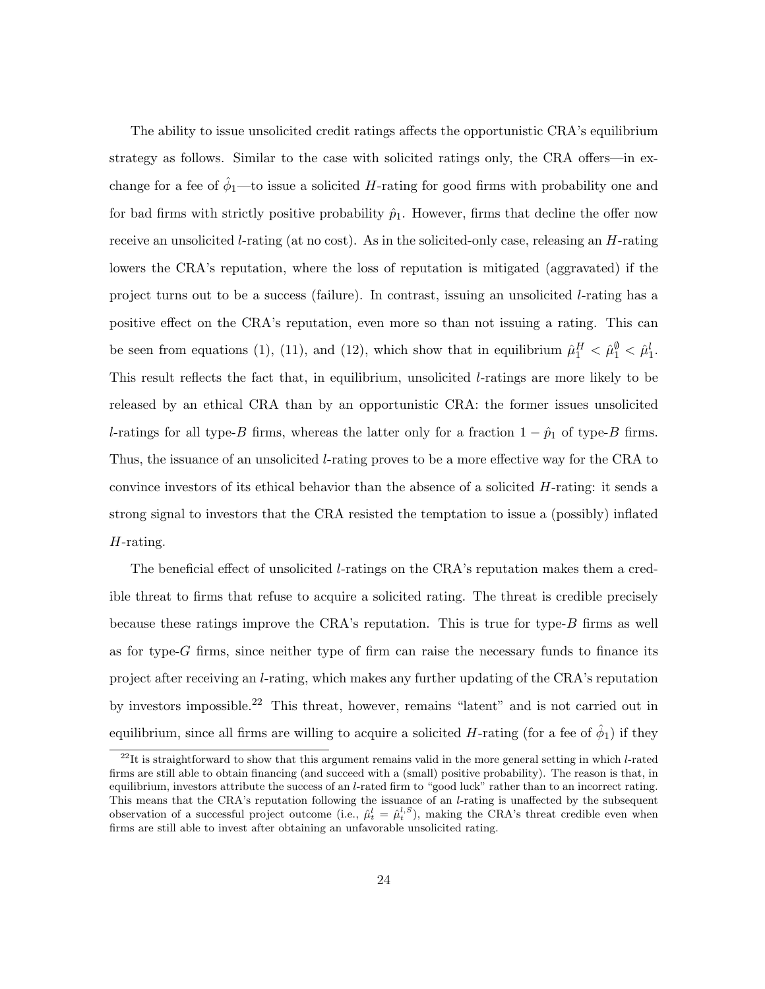The ability to issue unsolicited credit ratings affects the opportunistic CRA's equilibrium strategy as follows. Similar to the case with solicited ratings only, the CRA offers—in exchange for a fee of  $\hat{\phi}_1$ —to issue a solicited H-rating for good firms with probability one and for bad firms with strictly positive probability  $\hat{p}_1$ . However, firms that decline the offer now receive an unsolicited l-rating (at no cost). As in the solicited-only case, releasing an H-rating lowers the CRA's reputation, where the loss of reputation is mitigated (aggravated) if the project turns out to be a success (failure). In contrast, issuing an unsolicited l-rating has a positive effect on the CRA's reputation, even more so than not issuing a rating. This can be seen from equations (1), (11), and (12), which show that in equilibrium  $\hat{\mu}_1^H < \hat{\mu}_1^0 < \hat{\mu}_1^l$ . This result reflects the fact that, in equilibrium, unsolicited l-ratings are more likely to be released by an ethical CRA than by an opportunistic CRA: the former issues unsolicited l-ratings for all type-B firms, whereas the latter only for a fraction  $1 - \hat{p}_1$  of type-B firms. Thus, the issuance of an unsolicited l-rating proves to be a more effective way for the CRA to convince investors of its ethical behavior than the absence of a solicited  $H$ -rating: it sends a strong signal to investors that the CRA resisted the temptation to issue a (possibly) inflated H-rating.

The beneficial effect of unsolicited l-ratings on the CRA's reputation makes them a credible threat to firms that refuse to acquire a solicited rating. The threat is credible precisely because these ratings improve the CRA's reputation. This is true for type- $B$  firms as well as for type-G firms, since neither type of firm can raise the necessary funds to finance its project after receiving an l-rating, which makes any further updating of the CRA's reputation by investors impossible.<sup>22</sup> This threat, however, remains "latent" and is not carried out in equilibrium, since all firms are willing to acquire a solicited H-rating (for a fee of  $\hat{\phi}_1$ ) if they

 $^{22}$ It is straightforward to show that this argument remains valid in the more general setting in which  $l$ -rated firms are still able to obtain financing (and succeed with a (small) positive probability). The reason is that, in equilibrium, investors attribute the success of an *l*-rated firm to "good luck" rather than to an incorrect rating. This means that the CRA's reputation following the issuance of an *l*-rating is unaffected by the subsequent observation of a successful project outcome (i.e.,  $\hat{\mu}_t^l = \hat{\mu}_t^{l,S}$ ), making the CRA's threat credible even when firms are still able to invest after obtaining an unfavorable unsolicited rating.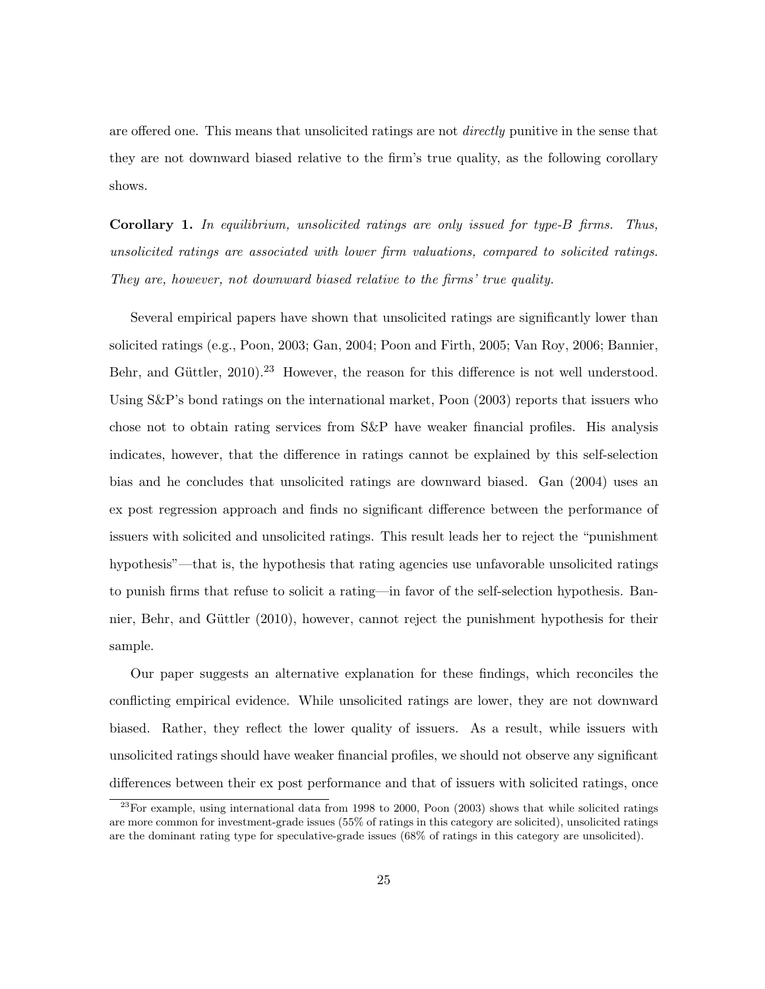are offered one. This means that unsolicited ratings are not *directly* punitive in the sense that they are not downward biased relative to the firm's true quality, as the following corollary shows.

**Corollary 1.** In equilibrium, unsolicited ratings are only issued for type-B firms. Thus, unsolicited ratings are associated with lower firm valuations, compared to solicited ratings. They are, however, not downward biased relative to the firms' true quality.

Several empirical papers have shown that unsolicited ratings are significantly lower than solicited ratings (e.g., Poon, 2003; Gan, 2004; Poon and Firth, 2005; Van Roy, 2006; Bannier, Behr, and Güttler,  $2010$ <sup>23</sup> However, the reason for this difference is not well understood. Using S&P's bond ratings on the international market, Poon (2003) reports that issuers who chose not to obtain rating services from S&P have weaker financial profiles. His analysis indicates, however, that the difference in ratings cannot be explained by this self-selection bias and he concludes that unsolicited ratings are downward biased. Gan (2004) uses an ex post regression approach and finds no significant difference between the performance of issuers with solicited and unsolicited ratings. This result leads her to reject the "punishment hypothesis"—that is, the hypothesis that rating agencies use unfavorable unsolicited ratings to punish firms that refuse to solicit a rating—in favor of the self-selection hypothesis. Bannier, Behr, and Güttler (2010), however, cannot reject the punishment hypothesis for their sample.

Our paper suggests an alternative explanation for these findings, which reconciles the conflicting empirical evidence. While unsolicited ratings are lower, they are not downward biased. Rather, they reflect the lower quality of issuers. As a result, while issuers with unsolicited ratings should have weaker financial profiles, we should not observe any significant differences between their ex post performance and that of issuers with solicited ratings, once

 $23$ For example, using international data from 1998 to 2000, Poon (2003) shows that while solicited ratings are more common for investment-grade issues (55% of ratings in this category are solicited), unsolicited ratings are the dominant rating type for speculative-grade issues (68% of ratings in this category are unsolicited).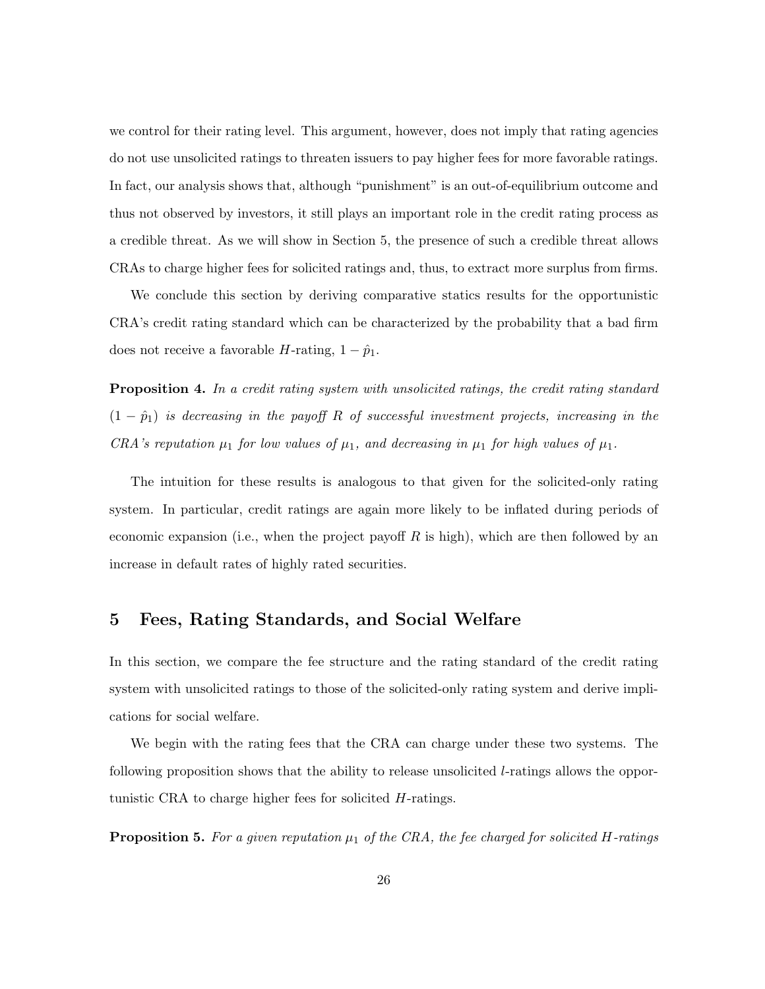we control for their rating level. This argument, however, does not imply that rating agencies do not use unsolicited ratings to threaten issuers to pay higher fees for more favorable ratings. In fact, our analysis shows that, although "punishment" is an out-of-equilibrium outcome and thus not observed by investors, it still plays an important role in the credit rating process as a credible threat. As we will show in Section 5, the presence of such a credible threat allows CRAs to charge higher fees for solicited ratings and, thus, to extract more surplus from firms.

We conclude this section by deriving comparative statics results for the opportunistic CRA's credit rating standard which can be characterized by the probability that a bad firm does not receive a favorable H-rating,  $1 - \hat{p}_1$ .

**Proposition 4.** In a credit rating system with unsolicited ratings, the credit rating standard  $(1 - \hat{p}_1)$  is decreasing in the payoff R of successful investment projects, increasing in the CRA's reputation  $\mu_1$  for low values of  $\mu_1$ , and decreasing in  $\mu_1$  for high values of  $\mu_1$ .

The intuition for these results is analogous to that given for the solicited-only rating system. In particular, credit ratings are again more likely to be inflated during periods of economic expansion (i.e., when the project payoff R is high), which are then followed by an increase in default rates of highly rated securities.

#### 5 Fees, Rating Standards, and Social Welfare

In this section, we compare the fee structure and the rating standard of the credit rating system with unsolicited ratings to those of the solicited-only rating system and derive implications for social welfare.

We begin with the rating fees that the CRA can charge under these two systems. The following proposition shows that the ability to release unsolicited l-ratings allows the opportunistic CRA to charge higher fees for solicited H-ratings.

**Proposition 5.** For a given reputation  $\mu_1$  of the CRA, the fee charged for solicited H-ratings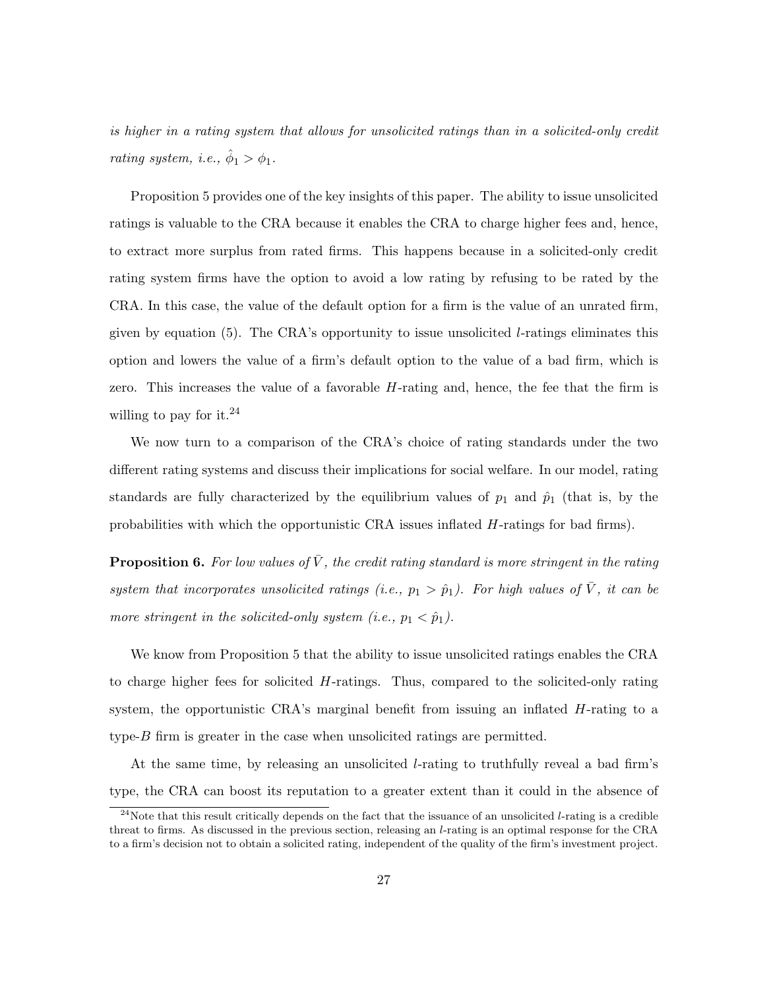is higher in a rating system that allows for unsolicited ratings than in a solicited-only credit rating system, i.e.,  $\hat{\phi}_1 > \phi_1$ .

Proposition 5 provides one of the key insights of this paper. The ability to issue unsolicited ratings is valuable to the CRA because it enables the CRA to charge higher fees and, hence, to extract more surplus from rated firms. This happens because in a solicited-only credit rating system firms have the option to avoid a low rating by refusing to be rated by the CRA. In this case, the value of the default option for a firm is the value of an unrated firm, given by equation (5). The CRA's opportunity to issue unsolicited *l*-ratings eliminates this option and lowers the value of a firm's default option to the value of a bad firm, which is zero. This increases the value of a favorable H-rating and, hence, the fee that the firm is willing to pay for it. $^{24}$ 

We now turn to a comparison of the CRA's choice of rating standards under the two different rating systems and discuss their implications for social welfare. In our model, rating standards are fully characterized by the equilibrium values of  $p_1$  and  $\hat{p}_1$  (that is, by the probabilities with which the opportunistic CRA issues inflated H-ratings for bad firms).

**Proposition 6.** For low values of  $\bar{V}$ , the credit rating standard is more stringent in the rating system that incorporates unsolicited ratings (i.e.,  $p_1 > \hat{p}_1$ ). For high values of  $\overline{V}$ , it can be more stringent in the solicited-only system (i.e.,  $p_1 < \hat{p}_1$ ).

We know from Proposition 5 that the ability to issue unsolicited ratings enables the CRA to charge higher fees for solicited  $H$ -ratings. Thus, compared to the solicited-only rating system, the opportunistic CRA's marginal benefit from issuing an inflated H-rating to a type- $B$  firm is greater in the case when unsolicited ratings are permitted.

At the same time, by releasing an unsolicited l-rating to truthfully reveal a bad firm's type, the CRA can boost its reputation to a greater extent than it could in the absence of

 $24$ Note that this result critically depends on the fact that the issuance of an unsolicited *l*-rating is a credible threat to firms. As discussed in the previous section, releasing an l-rating is an optimal response for the CRA to a firm's decision not to obtain a solicited rating, independent of the quality of the firm's investment project.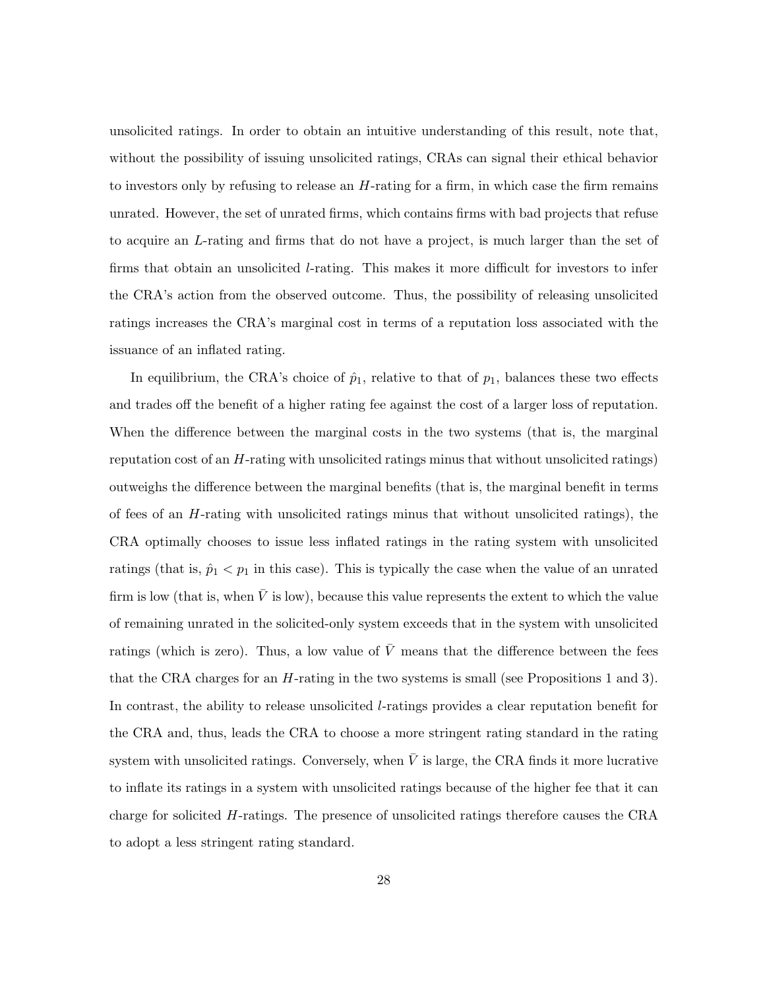unsolicited ratings. In order to obtain an intuitive understanding of this result, note that, without the possibility of issuing unsolicited ratings, CRAs can signal their ethical behavior to investors only by refusing to release an  $H$ -rating for a firm, in which case the firm remains unrated. However, the set of unrated firms, which contains firms with bad projects that refuse to acquire an L-rating and firms that do not have a project, is much larger than the set of firms that obtain an unsolicited l-rating. This makes it more difficult for investors to infer the CRA's action from the observed outcome. Thus, the possibility of releasing unsolicited ratings increases the CRA's marginal cost in terms of a reputation loss associated with the issuance of an inflated rating.

In equilibrium, the CRA's choice of  $\hat{p}_1$ , relative to that of  $p_1$ , balances these two effects and trades off the benefit of a higher rating fee against the cost of a larger loss of reputation. When the difference between the marginal costs in the two systems (that is, the marginal reputation cost of an H-rating with unsolicited ratings minus that without unsolicited ratings) outweighs the difference between the marginal benefits (that is, the marginal benefit in terms of fees of an H-rating with unsolicited ratings minus that without unsolicited ratings), the CRA optimally chooses to issue less inflated ratings in the rating system with unsolicited ratings (that is,  $\hat{p}_1 < p_1$  in this case). This is typically the case when the value of an unrated firm is low (that is, when  $\bar{V}$  is low), because this value represents the extent to which the value of remaining unrated in the solicited-only system exceeds that in the system with unsolicited ratings (which is zero). Thus, a low value of  $\bar{V}$  means that the difference between the fees that the CRA charges for an H-rating in the two systems is small (see Propositions 1 and 3). In contrast, the ability to release unsolicited *l*-ratings provides a clear reputation benefit for the CRA and, thus, leads the CRA to choose a more stringent rating standard in the rating system with unsolicited ratings. Conversely, when  $\bar{V}$  is large, the CRA finds it more lucrative to inflate its ratings in a system with unsolicited ratings because of the higher fee that it can charge for solicited H-ratings. The presence of unsolicited ratings therefore causes the CRA to adopt a less stringent rating standard.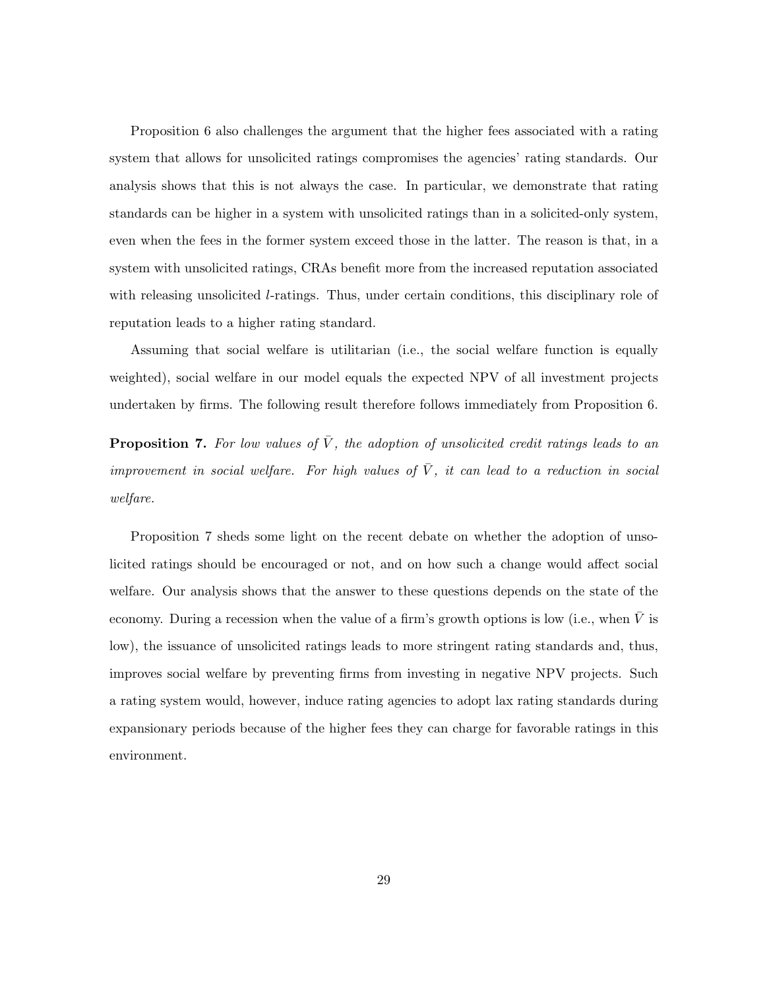Proposition 6 also challenges the argument that the higher fees associated with a rating system that allows for unsolicited ratings compromises the agencies' rating standards. Our analysis shows that this is not always the case. In particular, we demonstrate that rating standards can be higher in a system with unsolicited ratings than in a solicited-only system, even when the fees in the former system exceed those in the latter. The reason is that, in a system with unsolicited ratings, CRAs benefit more from the increased reputation associated with releasing unsolicited *l*-ratings. Thus, under certain conditions, this disciplinary role of reputation leads to a higher rating standard.

Assuming that social welfare is utilitarian (i.e., the social welfare function is equally weighted), social welfare in our model equals the expected NPV of all investment projects undertaken by firms. The following result therefore follows immediately from Proposition 6.

**Proposition 7.** For low values of  $\overline{V}$ , the adoption of unsolicited credit ratings leads to an improvement in social welfare. For high values of  $\overline{V}$ , it can lead to a reduction in social welfare.

Proposition 7 sheds some light on the recent debate on whether the adoption of unsolicited ratings should be encouraged or not, and on how such a change would affect social welfare. Our analysis shows that the answer to these questions depends on the state of the economy. During a recession when the value of a firm's growth options is low (i.e., when  $\bar{V}$  is low), the issuance of unsolicited ratings leads to more stringent rating standards and, thus, improves social welfare by preventing firms from investing in negative NPV projects. Such a rating system would, however, induce rating agencies to adopt lax rating standards during expansionary periods because of the higher fees they can charge for favorable ratings in this environment.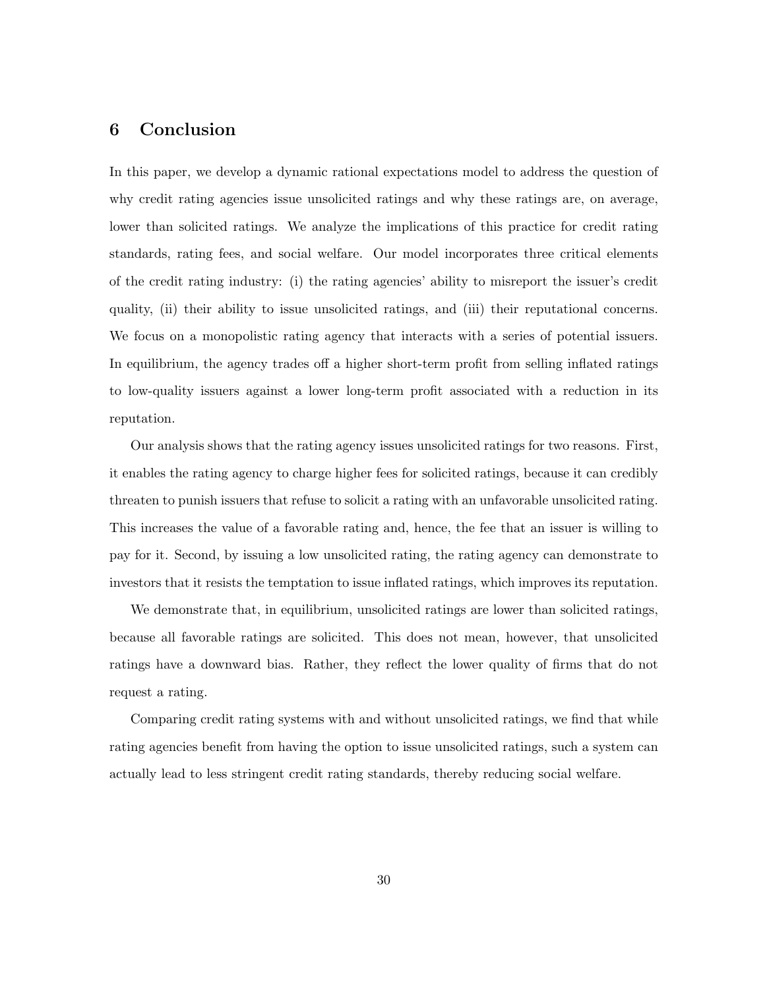#### 6 Conclusion

In this paper, we develop a dynamic rational expectations model to address the question of why credit rating agencies issue unsolicited ratings and why these ratings are, on average, lower than solicited ratings. We analyze the implications of this practice for credit rating standards, rating fees, and social welfare. Our model incorporates three critical elements of the credit rating industry: (i) the rating agencies' ability to misreport the issuer's credit quality, (ii) their ability to issue unsolicited ratings, and (iii) their reputational concerns. We focus on a monopolistic rating agency that interacts with a series of potential issuers. In equilibrium, the agency trades off a higher short-term profit from selling inflated ratings to low-quality issuers against a lower long-term profit associated with a reduction in its reputation.

Our analysis shows that the rating agency issues unsolicited ratings for two reasons. First, it enables the rating agency to charge higher fees for solicited ratings, because it can credibly threaten to punish issuers that refuse to solicit a rating with an unfavorable unsolicited rating. This increases the value of a favorable rating and, hence, the fee that an issuer is willing to pay for it. Second, by issuing a low unsolicited rating, the rating agency can demonstrate to investors that it resists the temptation to issue inflated ratings, which improves its reputation.

We demonstrate that, in equilibrium, unsolicited ratings are lower than solicited ratings, because all favorable ratings are solicited. This does not mean, however, that unsolicited ratings have a downward bias. Rather, they reflect the lower quality of firms that do not request a rating.

Comparing credit rating systems with and without unsolicited ratings, we find that while rating agencies benefit from having the option to issue unsolicited ratings, such a system can actually lead to less stringent credit rating standards, thereby reducing social welfare.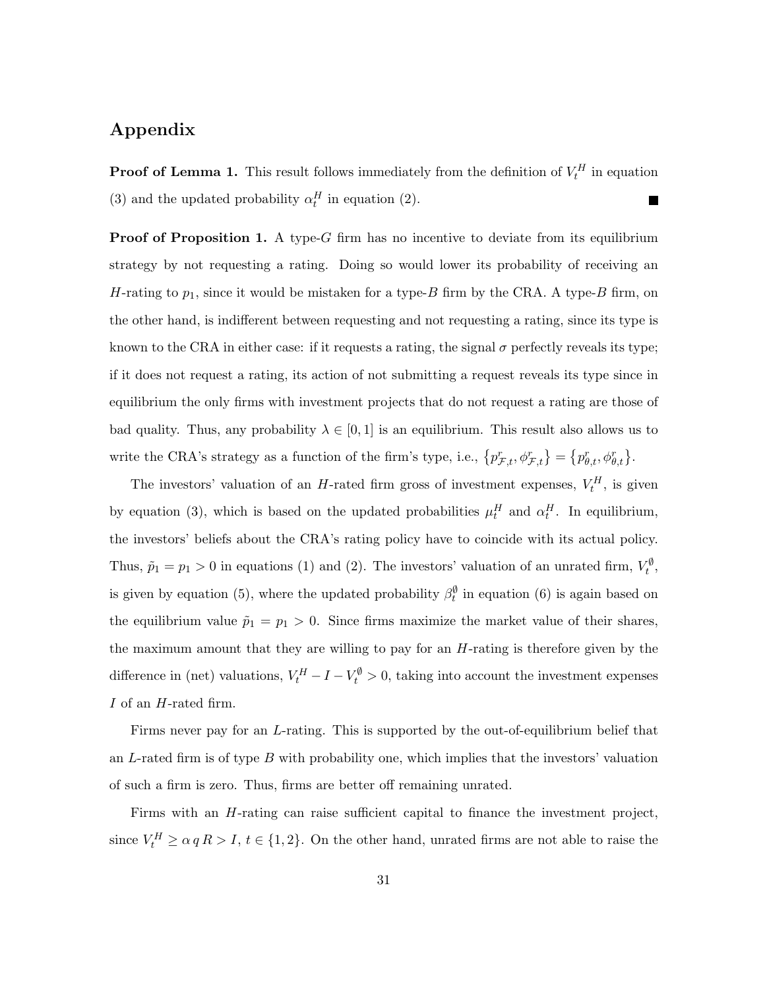# Appendix

**Proof of Lemma 1.** This result follows immediately from the definition of  $V_t^H$  in equation (3) and the updated probability  $\alpha_t^H$  in equation (2). **The State** 

**Proof of Proposition 1.** A type-G firm has no incentive to deviate from its equilibrium strategy by not requesting a rating. Doing so would lower its probability of receiving an H-rating to  $p_1$ , since it would be mistaken for a type-B firm by the CRA. A type-B firm, on the other hand, is indifferent between requesting and not requesting a rating, since its type is known to the CRA in either case: if it requests a rating, the signal  $\sigma$  perfectly reveals its type; if it does not request a rating, its action of not submitting a request reveals its type since in equilibrium the only firms with investment projects that do not request a rating are those of bad quality. Thus, any probability  $\lambda \in [0, 1]$  is an equilibrium. This result also allows us to write the CRA's strategy as a function of the firm's type, i.e.,  $\{p^r_{\mathcal{F},t}, \phi^r_{\mathcal{F},t}\} = \{p^r_{\theta,t}, \phi^r_{\theta,t}\}.$ 

The investors' valuation of an H-rated firm gross of investment expenses,  $V_t^H$ , is given by equation (3), which is based on the updated probabilities  $\mu_t^H$  and  $\alpha_t^H$ . In equilibrium, the investors' beliefs about the CRA's rating policy have to coincide with its actual policy. Thus,  $\tilde{p}_1 = p_1 > 0$  in equations (1) and (2). The investors' valuation of an unrated firm,  $V_t^{\emptyset}$ , is given by equation (5), where the updated probability  $\beta_t^{\emptyset}$  in equation (6) is again based on the equilibrium value  $\tilde{p}_1 = p_1 > 0$ . Since firms maximize the market value of their shares, the maximum amount that they are willing to pay for an  $H$ -rating is therefore given by the difference in (net) valuations,  $V_t^H - I - V_t^{\phi} > 0$ , taking into account the investment expenses I of an H-rated firm.

Firms never pay for an L-rating. This is supported by the out-of-equilibrium belief that an L-rated firm is of type B with probability one, which implies that the investors' valuation of such a firm is zero. Thus, firms are better off remaining unrated.

Firms with an H-rating can raise sufficient capital to finance the investment project, since  $V_t^H \ge \alpha q R > I$ ,  $t \in \{1, 2\}$ . On the other hand, unrated firms are not able to raise the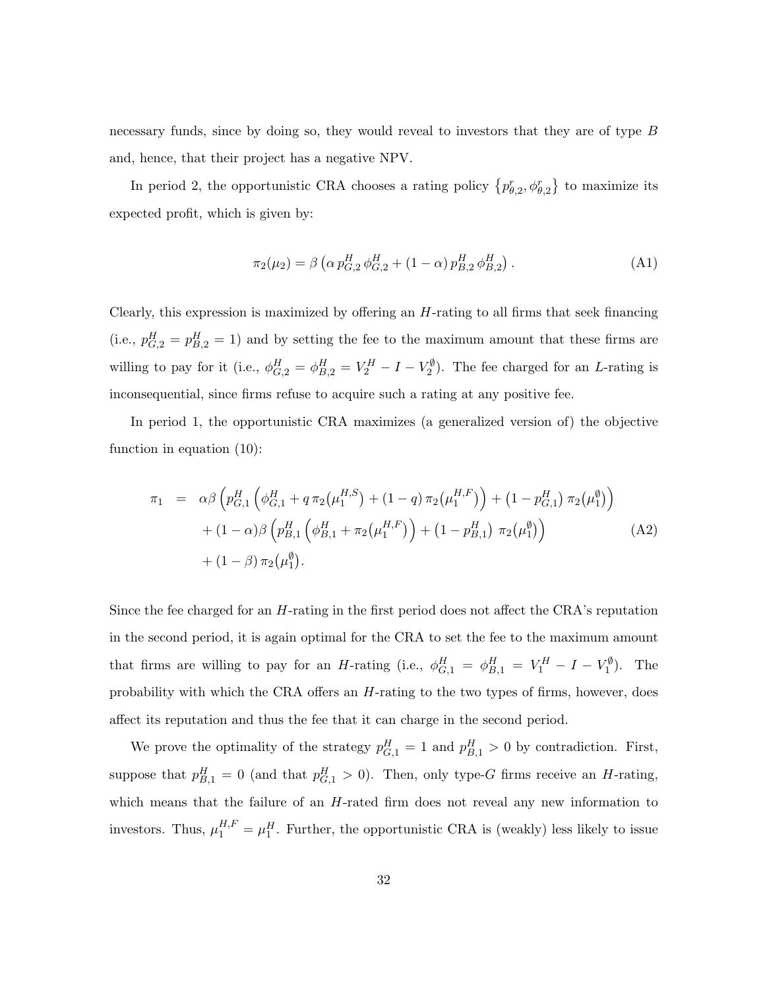necessary funds, since by doing so, they would reveal to investors that they are of type B and, hence, that their project has a negative NPV.

In period 2, the opportunistic CRA chooses a rating policy  $\{p_{\theta,2}^r, \phi_{\theta,2}^r\}$  to maximize its expected profit, which is given by:

$$
\pi_2(\mu_2) = \beta \left( \alpha p_{G,2}^H \phi_{G,2}^H + (1 - \alpha) p_{B,2}^H \phi_{B,2}^H \right). \tag{A1}
$$

Clearly, this expression is maximized by offering an  $H$ -rating to all firms that seek financing (i.e.,  $p_{G,2}^H = p_{B,2}^H = 1$ ) and by setting the fee to the maximum amount that these firms are willing to pay for it (i.e.,  $\phi_{G,2}^H = \phi_{B,2}^H = V_2^H - I - V_2^{\emptyset}$ ). The fee charged for an *L*-rating is inconsequential, since firms refuse to acquire such a rating at any positive fee.

In period 1, the opportunistic CRA maximizes (a generalized version of) the objective function in equation (10):

$$
\pi_1 = \alpha \beta \left( p_{G,1}^H \left( \phi_{G,1}^H + q \pi_2(\mu_1^{H,S}) + (1-q) \pi_2(\mu_1^{H,F}) \right) + (1-p_{G,1}^H) \pi_2(\mu_1^{\emptyset}) \right) \n+ (1-\alpha) \beta \left( p_{B,1}^H \left( \phi_{B,1}^H + \pi_2(\mu_1^{H,F}) \right) + (1-p_{B,1}^H) \pi_2(\mu_1^{\emptyset}) \right) \n+ (1-\beta) \pi_2(\mu_1^{\emptyset}).
$$
\n(A2)

Since the fee charged for an H-rating in the first period does not affect the CRA's reputation in the second period, it is again optimal for the CRA to set the fee to the maximum amount that firms are willing to pay for an H-rating (i.e.,  $\phi_{G,1}^H = \phi_{B,1}^H = V_1^H - I - V_1^{\emptyset}$ ). The probability with which the CRA offers an H-rating to the two types of firms, however, does affect its reputation and thus the fee that it can charge in the second period.

We prove the optimality of the strategy  $p_{G,1}^H = 1$  and  $p_{B,1}^H > 0$  by contradiction. First, suppose that  $p_{B,1}^H = 0$  (and that  $p_{G,1}^H > 0$ ). Then, only type-G firms receive an H-rating, which means that the failure of an H-rated firm does not reveal any new information to investors. Thus,  $\mu_1^{H,F} = \mu_1^H$ . Further, the opportunistic CRA is (weakly) less likely to issue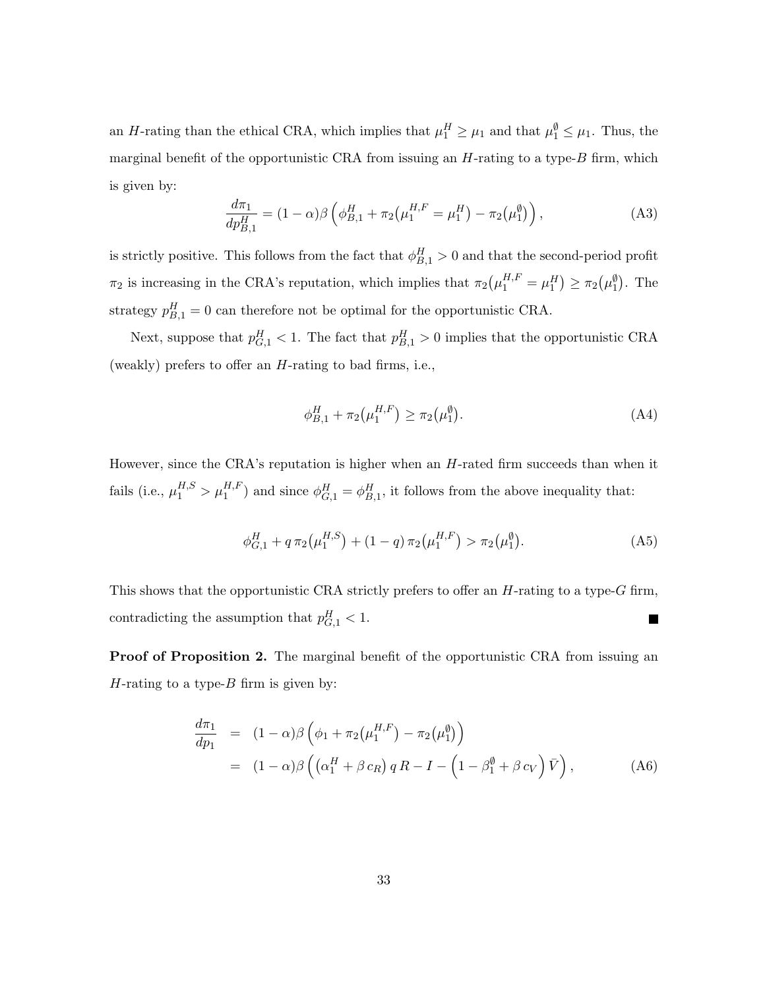an H-rating than the ethical CRA, which implies that  $\mu_1^H \ge \mu_1$  and that  $\mu_1^{\emptyset} \le \mu_1$ . Thus, the marginal benefit of the opportunistic CRA from issuing an  $H$ -rating to a type- $B$  firm, which is given by:

$$
\frac{d\pi_1}{dp_{B,1}^H} = (1 - \alpha)\beta \left( \phi_{B,1}^H + \pi_2(\mu_1^{H,F} = \mu_1^H) - \pi_2(\mu_1^{\emptyset}) \right),\tag{A3}
$$

is strictly positive. This follows from the fact that  $\phi_{B,1}^H > 0$  and that the second-period profit  $\pi_2$  is increasing in the CRA's reputation, which implies that  $\pi_2(\mu_1^{H,F} = \mu_1^H) \ge \pi_2(\mu_1^{\emptyset})$ . The strategy  $p_{B,1}^H = 0$  can therefore not be optimal for the opportunistic CRA.

Next, suppose that  $p_{G,1}^H < 1$ . The fact that  $p_{B,1}^H > 0$  implies that the opportunistic CRA (weakly) prefers to offer an  $H$ -rating to bad firms, i.e.,

$$
\phi_{B,1}^H + \pi_2(\mu_1^{H,F}) \ge \pi_2(\mu_1^{\emptyset}). \tag{A4}
$$

However, since the CRA's reputation is higher when an  $H$ -rated firm succeeds than when it fails (i.e.,  $\mu_1^{H,S} > \mu_1^{H,F}$ ) and since  $\phi_{G,1}^H = \phi_{B,1}^H$ , it follows from the above inequality that:

$$
\phi_{G,1}^H + q \pi_2(\mu_1^{H,S}) + (1-q) \pi_2(\mu_1^{H,F}) > \pi_2(\mu_1^{\emptyset}). \tag{A5}
$$

This shows that the opportunistic CRA strictly prefers to offer an  $H$ -rating to a type- $G$  firm, contradicting the assumption that  $p_{G,1}^H < 1$ . 

Proof of Proposition 2. The marginal benefit of the opportunistic CRA from issuing an H-rating to a type- $B$  firm is given by:

$$
\frac{d\pi_1}{dp_1} = (1 - \alpha)\beta \left(\phi_1 + \pi_2(\mu_1^{H,F}) - \pi_2(\mu_1^{\emptyset})\right)
$$
  
\n
$$
= (1 - \alpha)\beta \left((\alpha_1^H + \beta c_R) q R - I - \left(1 - \beta_1^{\emptyset} + \beta c_V\right) \bar{V}\right),
$$
 (A6)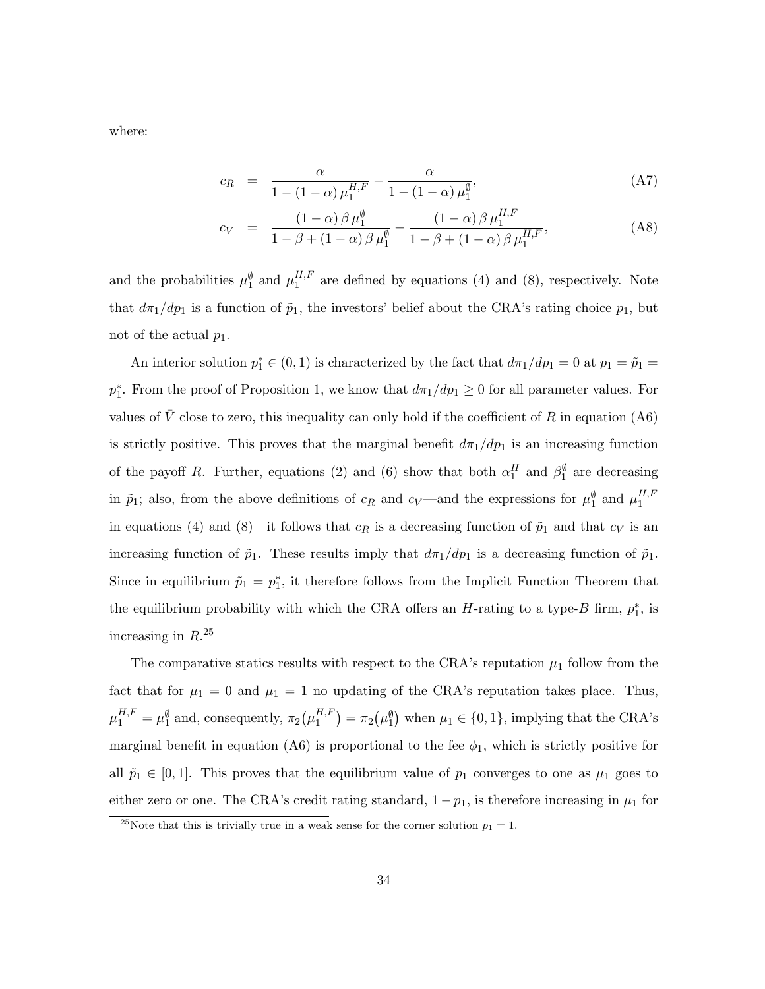where:

$$
c_R = \frac{\alpha}{1 - (1 - \alpha) \mu_1^{H, F}} - \frac{\alpha}{1 - (1 - \alpha) \mu_1^{\emptyset}},
$$
(A7)

$$
c_V = \frac{(1-\alpha)\beta\,\mu_1^{\emptyset}}{1-\beta+(1-\alpha)\beta\,\mu_1^{\emptyset}} - \frac{(1-\alpha)\,\beta\,\mu_1^{H,F}}{1-\beta+(1-\alpha)\,\beta\,\mu_1^{H,F}},
$$
(A8)

and the probabilities  $\mu_1^{\emptyset}$  and  $\mu_1^{H,F}$  $_1^{H,F}$  are defined by equations (4) and (8), respectively. Note that  $d\pi_1/dp_1$  is a function of  $\tilde{p}_1$ , the investors' belief about the CRA's rating choice  $p_1$ , but not of the actual  $p_1$ .

An interior solution  $p_1^* \in (0, 1)$  is characterized by the fact that  $d\pi_1/dp_1 = 0$  at  $p_1 = \tilde{p}_1 =$  $p_1^*$ . From the proof of Proposition 1, we know that  $d\pi_1/dp_1 \geq 0$  for all parameter values. For values of  $\overline{V}$  close to zero, this inequality can only hold if the coefficient of R in equation (A6) is strictly positive. This proves that the marginal benefit  $d\pi_1/dp_1$  is an increasing function of the payoff R. Further, equations (2) and (6) show that both  $\alpha_1^H$  and  $\beta_1^{\emptyset}$  are decreasing in  $\tilde{p}_1$ ; also, from the above definitions of  $c_R$  and  $c_V$ —and the expressions for  $\mu_1^{\emptyset}$  and  $\mu_1^{H,F}$ 1 in equations (4) and (8)—it follows that  $c_R$  is a decreasing function of  $\tilde{p}_1$  and that  $c_V$  is an increasing function of  $\tilde{p}_1$ . These results imply that  $d\pi_1/dp_1$  is a decreasing function of  $\tilde{p}_1$ . Since in equilibrium  $\tilde{p}_1 = p_1^*$ , it therefore follows from the Implicit Function Theorem that the equilibrium probability with which the CRA offers an  $H$ -rating to a type- $B$  firm,  $p_1^*$ , is increasing in  $R^{25}$ 

The comparative statics results with respect to the CRA's reputation  $\mu_1$  follow from the fact that for  $\mu_1 = 0$  and  $\mu_1 = 1$  no updating of the CRA's reputation takes place. Thus,  $\mu_1^{H,F} = \mu_1^{\emptyset}$  and, consequently,  $\pi_2(\mu_1^{H,F})$  $\mathcal{L}_{1}^{H,F}$  =  $\pi_2(\mu_1^{\emptyset})$  when  $\mu_1 \in \{0,1\}$ , implying that the CRA's marginal benefit in equation (A6) is proportional to the fee  $\phi_1$ , which is strictly positive for all  $\tilde{p}_1 \in [0, 1]$ . This proves that the equilibrium value of  $p_1$  converges to one as  $\mu_1$  goes to either zero or one. The CRA's credit rating standard,  $1 - p_1$ , is therefore increasing in  $\mu_1$  for

<sup>&</sup>lt;sup>25</sup>Note that this is trivially true in a weak sense for the corner solution  $p_1 = 1$ .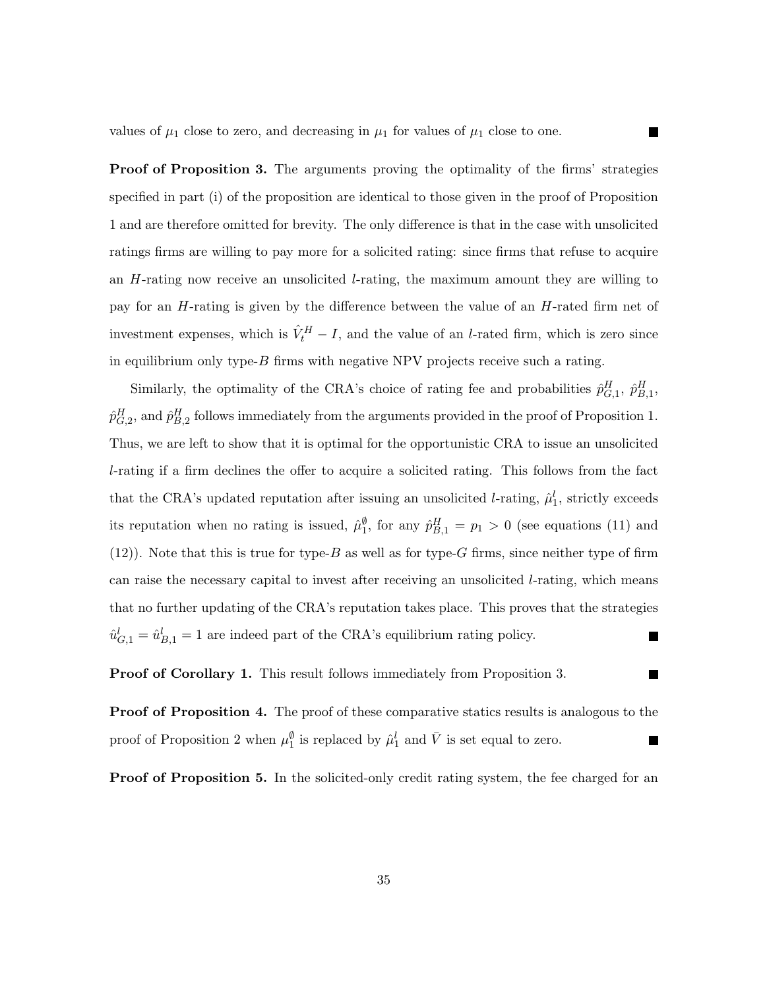values of  $\mu_1$  close to zero, and decreasing in  $\mu_1$  for values of  $\mu_1$  close to one.

**Proof of Proposition 3.** The arguments proving the optimality of the firms' strategies specified in part (i) of the proposition are identical to those given in the proof of Proposition 1 and are therefore omitted for brevity. The only difference is that in the case with unsolicited ratings firms are willing to pay more for a solicited rating: since firms that refuse to acquire an H-rating now receive an unsolicited l-rating, the maximum amount they are willing to pay for an H-rating is given by the difference between the value of an H-rated firm net of investment expenses, which is  $\hat{V}_t^H - I$ , and the value of an *l*-rated firm, which is zero since in equilibrium only type-B firms with negative NPV projects receive such a rating.

Similarly, the optimality of the CRA's choice of rating fee and probabilities  $\hat{p}^H_{G,1}, \hat{p}^H_{B,1}$ ,  $\hat{p}_{G,2}^H$ , and  $\hat{p}_{B,2}^H$  follows immediately from the arguments provided in the proof of Proposition 1. Thus, we are left to show that it is optimal for the opportunistic CRA to issue an unsolicited l-rating if a firm declines the offer to acquire a solicited rating. This follows from the fact that the CRA's updated reputation after issuing an unsolicited *l*-rating,  $\hat{\mu}_1^l$ , strictly exceeds its reputation when no rating is issued,  $\hat{\mu}_{1}^{\emptyset}$ , for any  $\hat{p}_{B,1}^{H} = p_1 > 0$  (see equations (11) and  $(12)$ ). Note that this is true for type-B as well as for type-G firms, since neither type of firm can raise the necessary capital to invest after receiving an unsolicited  $l$ -rating, which means that no further updating of the CRA's reputation takes place. This proves that the strategies  $\hat{u}_{G,1}^l = \hat{u}_{B,1}^l = 1$  are indeed part of the CRA's equilibrium rating policy.  $\blacksquare$ 

Proof of Corollary 1. This result follows immediately from Proposition 3.

**Proof of Proposition 4.** The proof of these comparative statics results is analogous to the proof of Proposition 2 when  $\mu_1^{\emptyset}$  is replaced by  $\hat{\mu}_1^l$  and  $\overline{V}$  is set equal to zero. **The Second Service** 

**Proof of Proposition 5.** In the solicited-only credit rating system, the fee charged for an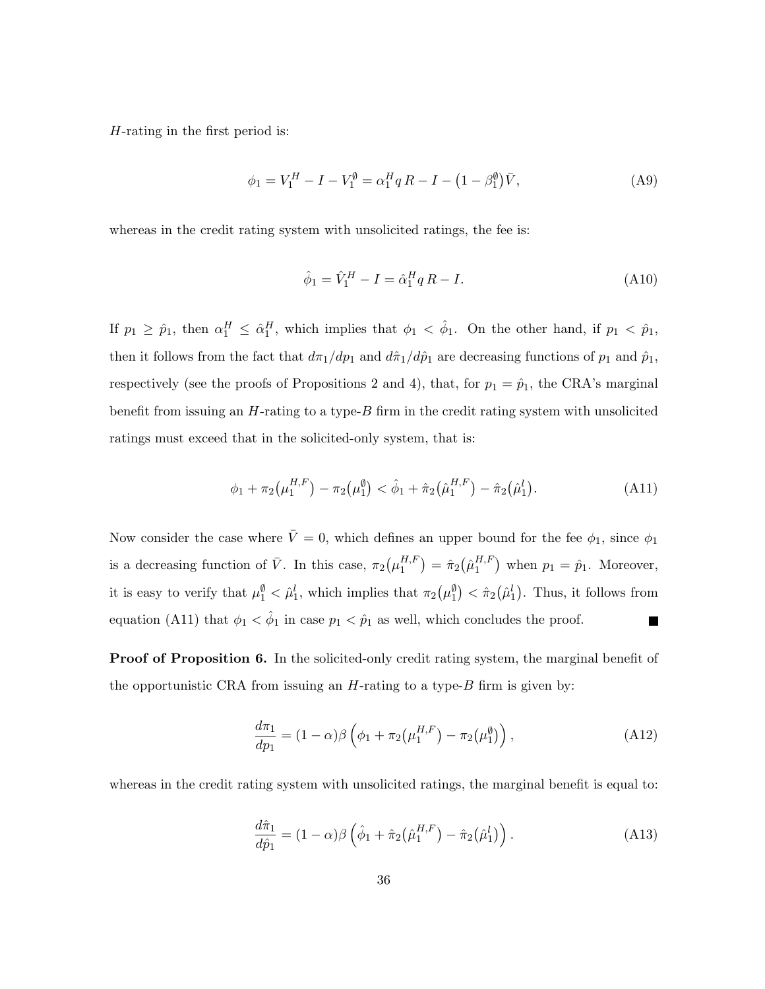H-rating in the first period is:

$$
\phi_1 = V_1^H - I - V_1^{\emptyset} = \alpha_1^H q R - I - (1 - \beta_1^{\emptyset}) \bar{V}, \tag{A9}
$$

whereas in the credit rating system with unsolicited ratings, the fee is:

$$
\hat{\phi}_1 = \hat{V}_1^H - I = \hat{\alpha}_1^H q R - I.
$$
\n(A10)

If  $p_1 \geq \hat{p}_1$ , then  $\alpha_1^H \leq \hat{\alpha}_1^H$ , which implies that  $\phi_1 < \hat{\phi}_1$ . On the other hand, if  $p_1 < \hat{p}_1$ , then it follows from the fact that  $d\pi_1/dp_1$  and  $d\hat{\pi}_1/d\hat{p}_1$  are decreasing functions of  $p_1$  and  $\hat{p}_1$ , respectively (see the proofs of Propositions 2 and 4), that, for  $p_1 = \hat{p}_1$ , the CRA's marginal benefit from issuing an  $H$ -rating to a type- $B$  firm in the credit rating system with unsolicited ratings must exceed that in the solicited-only system, that is:

$$
\phi_1 + \pi_2(\mu_1^{H,F}) - \pi_2(\mu_1^{\emptyset}) < \hat{\phi}_1 + \hat{\pi}_2(\hat{\mu}_1^{H,F}) - \hat{\pi}_2(\hat{\mu}_1^l). \tag{A11}
$$

Now consider the case where  $\bar{V}=0$ , which defines an upper bound for the fee  $\phi_1$ , since  $\phi_1$ is a decreasing function of  $\bar{V}$ . In this case,  $\pi_2(\mu_1^{H,F})$  $\binom{H,F}{1} = \hat{\pi}_2 \bigl( \hat{\mu}_1^{H,F}$  $\binom{H,F}{1}$  when  $p_1 = \hat{p}_1$ . Moreover, it is easy to verify that  $\mu_1^{\emptyset} < \hat{\mu}_1^l$ , which implies that  $\pi_2(\mu_1^{\emptyset}) < \hat{\pi}_2(\hat{\mu}_1^l)$ . Thus, it follows from equation (A11) that  $\phi_1 < \hat{\phi}_1$  in case  $p_1 < \hat{p}_1$  as well, which concludes the proof.  $\blacksquare$ 

**Proof of Proposition 6.** In the solicited-only credit rating system, the marginal benefit of the opportunistic CRA from issuing an  $H$ -rating to a type- $B$  firm is given by:

$$
\frac{d\pi_1}{dp_1} = (1 - \alpha)\beta \left( \phi_1 + \pi_2(\mu_1^{H,F}) - \pi_2(\mu_1^{\emptyset}) \right),\tag{A12}
$$

whereas in the credit rating system with unsolicited ratings, the marginal benefit is equal to:

$$
\frac{d\hat{\pi}_1}{d\hat{p}_1} = (1 - \alpha)\beta \left( \hat{\phi}_1 + \hat{\pi}_2(\hat{\mu}_1^{H,F}) - \hat{\pi}_2(\hat{\mu}_1^l) \right).
$$
 (A13)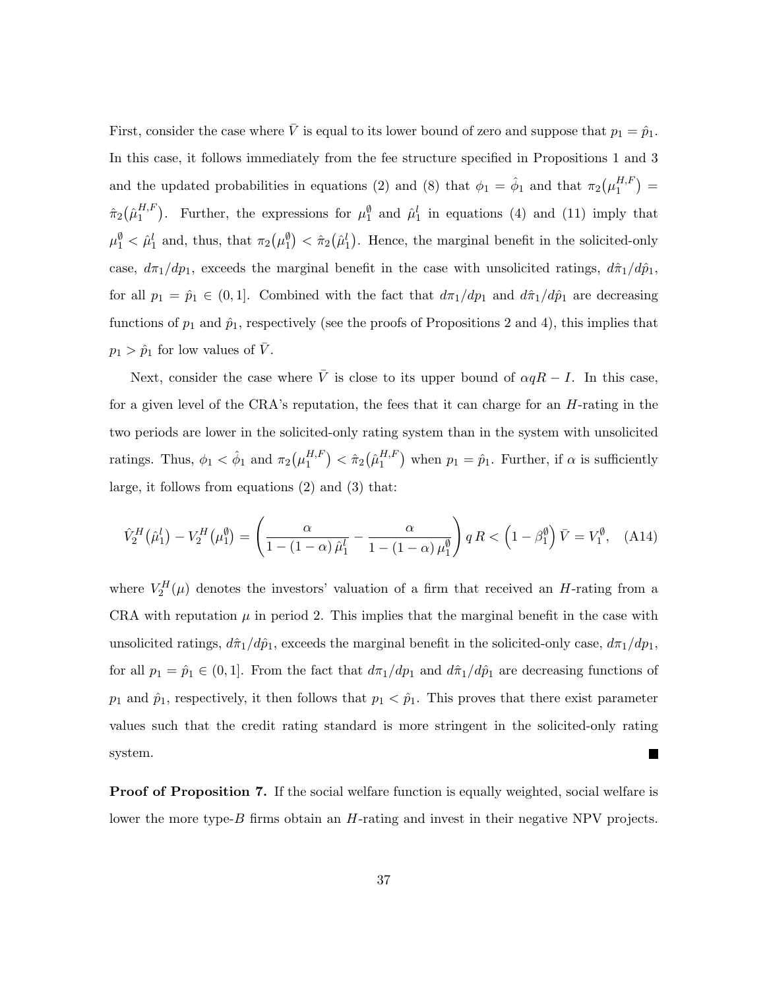First, consider the case where  $\bar{V}$  is equal to its lower bound of zero and suppose that  $p_1 = \hat{p}_1$ . In this case, it follows immediately from the fee structure specified in Propositions 1 and 3 and the updated probabilities in equations (2) and (8) that  $\phi_1 = \hat{\phi}_1$  and that  $\pi_2(\mu_1^{H,F})$  $\binom{H,F}{1} =$  $\hat{\pi}_2\big(\hat{\mu}_1^{H,F}$  $_{1}^{H,F}$ ). Further, the expressions for  $\mu_1^{\emptyset}$  and  $\hat{\mu}_1^l$  in equations (4) and (11) imply that  $\mu_1^{\emptyset} < \hat{\mu}_1^l$  and, thus, that  $\pi_2(\mu_1^{\emptyset}) < \hat{\pi}_2(\hat{\mu}_1^l)$ . Hence, the marginal benefit in the solicited-only case,  $d\pi_1/dp_1$ , exceeds the marginal benefit in the case with unsolicited ratings,  $d\hat{\pi}_1/d\hat{p}_1$ , for all  $p_1 = \hat{p}_1 \in (0, 1]$ . Combined with the fact that  $d\pi_1/dp_1$  and  $d\hat{\pi}_1/d\hat{p}_1$  are decreasing functions of  $p_1$  and  $\hat{p}_1$ , respectively (see the proofs of Propositions 2 and 4), this implies that  $p_1 > \hat{p}_1$  for low values of  $\overline{V}$ .

Next, consider the case where  $\overline{V}$  is close to its upper bound of  $\alpha qR - I$ . In this case, for a given level of the CRA's reputation, the fees that it can charge for an  $H$ -rating in the two periods are lower in the solicited-only rating system than in the system with unsolicited ratings. Thus,  $\phi_1 < \hat{\phi}_1$  and  $\pi_2(\mu_1^{H,F})$  $\binom{H,F}{1}<\hat{\pi}_2\big(\hat{\mu}_1^{H,F}$  $\binom{H,F}{1}$  when  $p_1 = \hat{p}_1$ . Further, if  $\alpha$  is sufficiently large, it follows from equations (2) and (3) that:

$$
\hat{V}_2^H(\hat{\mu}_1^l) - V_2^H(\mu_1^\emptyset) = \left(\frac{\alpha}{1 - (1 - \alpha)\,\hat{\mu}_1^l} - \frac{\alpha}{1 - (1 - \alpha)\,\mu_1^\emptyset}\right) qR < \left(1 - \beta_1^\emptyset\right)\bar{V} = V_1^\emptyset,\tag{A14}
$$

where  $V_2^H(\mu)$  denotes the investors' valuation of a firm that received an H-rating from a CRA with reputation  $\mu$  in period 2. This implies that the marginal benefit in the case with unsolicited ratings,  $d\hat{\pi}_1/d\hat{p}_1$ , exceeds the marginal benefit in the solicited-only case,  $d\pi_1/dp_1$ , for all  $p_1 = \hat{p}_1 \in (0, 1]$ . From the fact that  $d\pi_1/dp_1$  and  $d\hat{\pi}_1/d\hat{p}_1$  are decreasing functions of  $p_1$  and  $\hat{p}_1$ , respectively, it then follows that  $p_1 < \hat{p}_1$ . This proves that there exist parameter values such that the credit rating standard is more stringent in the solicited-only rating system.  $\mathcal{L}_{\mathcal{A}}$ 

Proof of Proposition 7. If the social welfare function is equally weighted, social welfare is lower the more type-B firms obtain an H-rating and invest in their negative NPV projects.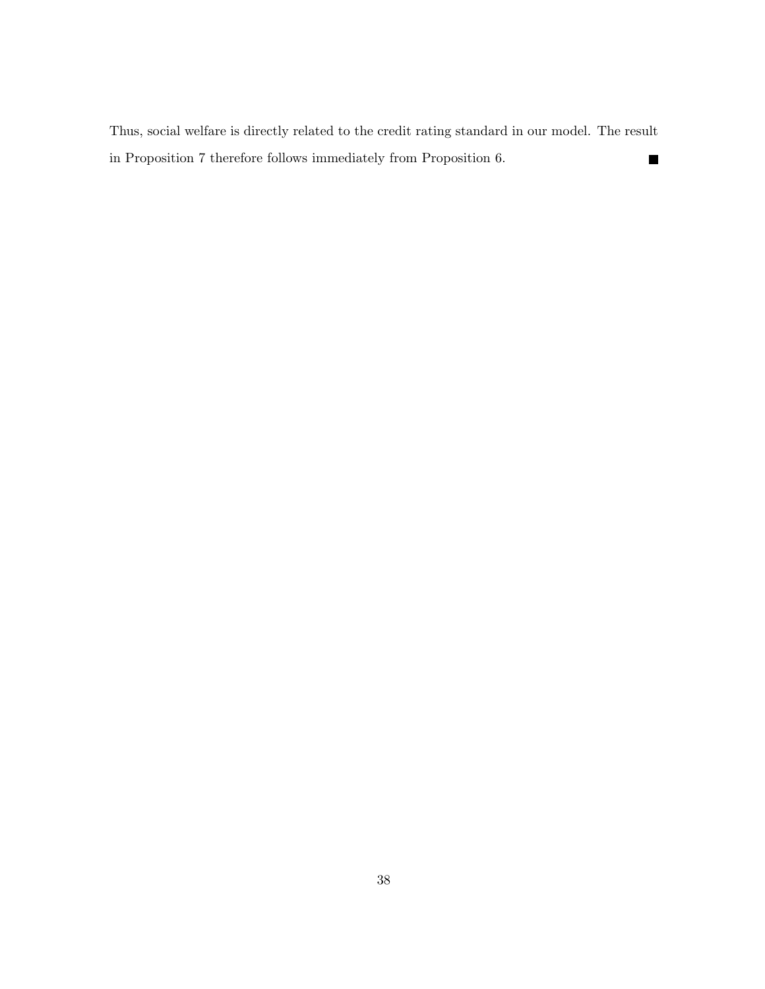Thus, social welfare is directly related to the credit rating standard in our model. The result in Proposition 7 therefore follows immediately from Proposition 6.  $\qquad \qquad \blacksquare$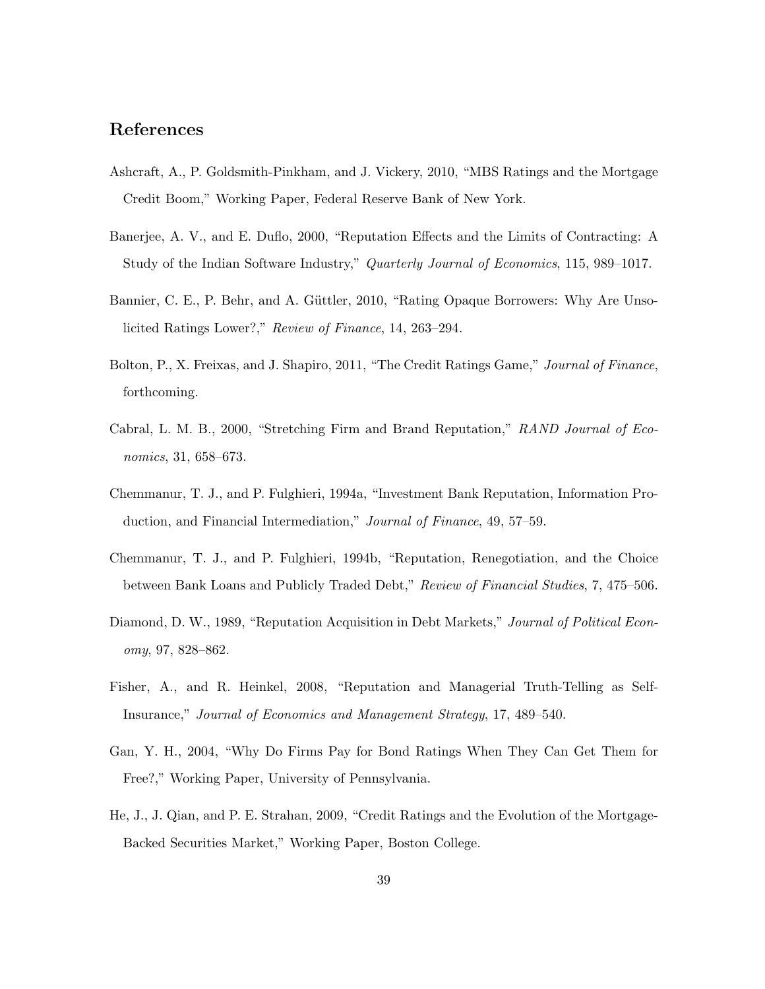#### References

- Ashcraft, A., P. Goldsmith-Pinkham, and J. Vickery, 2010, "MBS Ratings and the Mortgage Credit Boom," Working Paper, Federal Reserve Bank of New York.
- Banerjee, A. V., and E. Duflo, 2000, "Reputation Effects and the Limits of Contracting: A Study of the Indian Software Industry," Quarterly Journal of Economics, 115, 989–1017.
- Bannier, C. E., P. Behr, and A. Güttler, 2010, "Rating Opaque Borrowers: Why Are Unsolicited Ratings Lower?," Review of Finance, 14, 263–294.
- Bolton, P., X. Freixas, and J. Shapiro, 2011, "The Credit Ratings Game," Journal of Finance, forthcoming.
- Cabral, L. M. B., 2000, "Stretching Firm and Brand Reputation," RAND Journal of Economics, 31, 658–673.
- Chemmanur, T. J., and P. Fulghieri, 1994a, "Investment Bank Reputation, Information Production, and Financial Intermediation," Journal of Finance, 49, 57–59.
- Chemmanur, T. J., and P. Fulghieri, 1994b, "Reputation, Renegotiation, and the Choice between Bank Loans and Publicly Traded Debt," Review of Financial Studies, 7, 475–506.
- Diamond, D. W., 1989, "Reputation Acquisition in Debt Markets," Journal of Political Economy, 97, 828–862.
- Fisher, A., and R. Heinkel, 2008, "Reputation and Managerial Truth-Telling as Self-Insurance," Journal of Economics and Management Strategy, 17, 489–540.
- Gan, Y. H., 2004, "Why Do Firms Pay for Bond Ratings When They Can Get Them for Free?," Working Paper, University of Pennsylvania.
- He, J., J. Qian, and P. E. Strahan, 2009, "Credit Ratings and the Evolution of the Mortgage-Backed Securities Market," Working Paper, Boston College.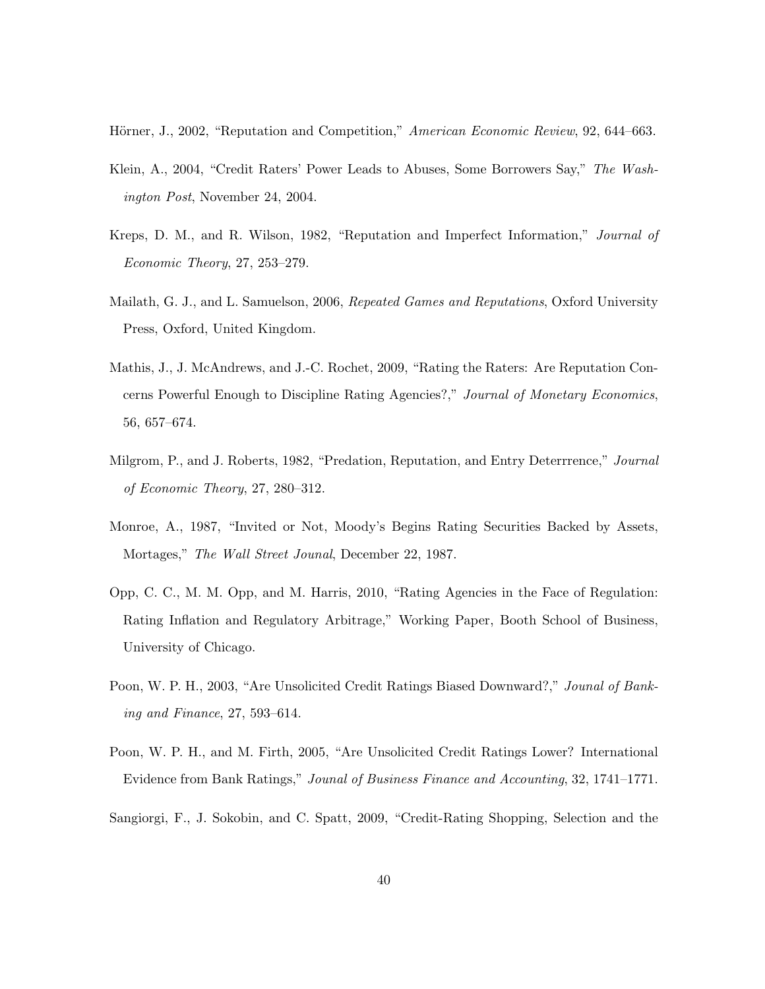Hörner, J., 2002, "Reputation and Competition," American Economic Review, 92, 644–663.

- Klein, A., 2004, "Credit Raters' Power Leads to Abuses, Some Borrowers Say," The Washington Post, November 24, 2004.
- Kreps, D. M., and R. Wilson, 1982, "Reputation and Imperfect Information," Journal of Economic Theory, 27, 253–279.
- Mailath, G. J., and L. Samuelson, 2006, Repeated Games and Reputations, Oxford University Press, Oxford, United Kingdom.
- Mathis, J., J. McAndrews, and J.-C. Rochet, 2009, "Rating the Raters: Are Reputation Concerns Powerful Enough to Discipline Rating Agencies?," Journal of Monetary Economics, 56, 657–674.
- Milgrom, P., and J. Roberts, 1982, "Predation, Reputation, and Entry Deterrrence," Journal of Economic Theory, 27, 280–312.
- Monroe, A., 1987, "Invited or Not, Moody's Begins Rating Securities Backed by Assets, Mortages," The Wall Street Jounal, December 22, 1987.
- Opp, C. C., M. M. Opp, and M. Harris, 2010, "Rating Agencies in the Face of Regulation: Rating Inflation and Regulatory Arbitrage," Working Paper, Booth School of Business, University of Chicago.
- Poon, W. P. H., 2003, "Are Unsolicited Credit Ratings Biased Downward?," Jounal of Banking and Finance, 27, 593–614.
- Poon, W. P. H., and M. Firth, 2005, "Are Unsolicited Credit Ratings Lower? International Evidence from Bank Ratings," Jounal of Business Finance and Accounting, 32, 1741–1771.
- Sangiorgi, F., J. Sokobin, and C. Spatt, 2009, "Credit-Rating Shopping, Selection and the